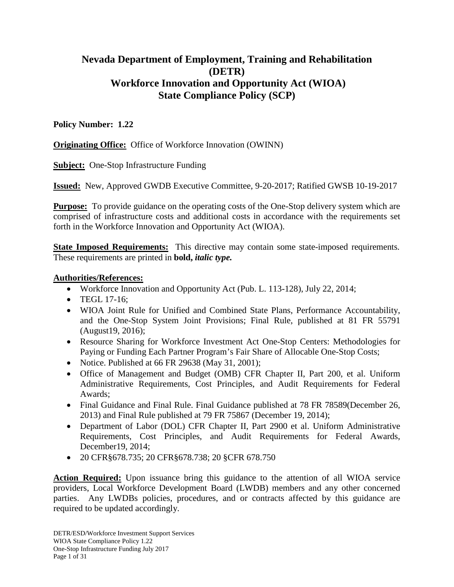# **Nevada Department of Employment, Training and Rehabilitation (DETR) Workforce Innovation and Opportunity Act (WIOA) State Compliance Policy (SCP)**

# **Policy Number: 1.22**

**Originating Office:** Office of Workforce Innovation (OWINN)

**Subject:** One-Stop Infrastructure Funding

**Issued:** New, Approved GWDB Executive Committee, 9-20-2017; Ratified GWSB 10-19-2017

**Purpose:** To provide guidance on the operating costs of the One-Stop delivery system which are comprised of infrastructure costs and additional costs in accordance with the requirements set forth in the Workforce Innovation and Opportunity Act (WIOA).

**State Imposed Requirements:** This directive may contain some state-imposed requirements. These requirements are printed in **bold,** *italic type.* 

## **Authorities/References:**

- Workforce Innovation and Opportunity Act (Pub. L. 113-128), July 22, 2014;
- TEGL 17-16:
- WIOA Joint Rule for Unified and Combined State Plans, Performance Accountability, and the One-Stop System Joint Provisions; Final Rule, published at 81 FR 55791 (August19, 2016);
- Resource Sharing for Workforce Investment Act One-Stop Centers: Methodologies for Paying or Funding Each Partner Program's Fair Share of Allocable One-Stop Costs;
- Notice. Published at  $66$  FR 29638 (May 31, 2001);
- Office of Management and Budget (OMB) CFR Chapter II, Part 200, et al. Uniform Administrative Requirements, Cost Principles, and Audit Requirements for Federal Awards;
- Final Guidance and Final Rule. Final Guidance published at 78 FR 78589 (December 26, 2013) and Final Rule published at 79 FR 75867 (December 19, 2014);
- Department of Labor (DOL) CFR Chapter II, Part 2900 et al. Uniform Administrative Requirements, Cost Principles, and Audit Requirements for Federal Awards, December19, 2014;
- 20 CFR§678.735; 20 CFR§678.738; 20 §CFR 678.750

**Action Required:** Upon issuance bring this guidance to the attention of all WIOA service providers, Local Workforce Development Board (LWDB) members and any other concerned parties. Any LWDBs policies, procedures, and or contracts affected by this guidance are required to be updated accordingly.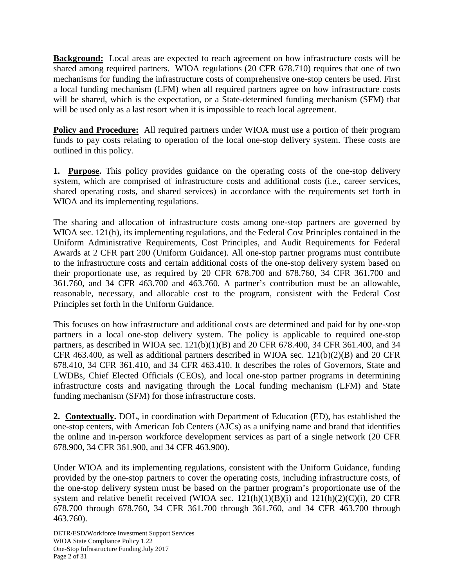**Background:** Local areas are expected to reach agreement on how infrastructure costs will be shared among required partners. WIOA regulations (20 CFR 678.710) requires that one of two mechanisms for funding the infrastructure costs of comprehensive one-stop centers be used. First a local funding mechanism (LFM) when all required partners agree on how infrastructure costs will be shared, which is the expectation, or a State-determined funding mechanism (SFM) that will be used only as a last resort when it is impossible to reach local agreement.

**Policy and Procedure:** All required partners under WIOA must use a portion of their program funds to pay costs relating to operation of the local one-stop delivery system. These costs are outlined in this policy.

**1. Purpose.** This policy provides guidance on the operating costs of the one-stop delivery system, which are comprised of infrastructure costs and additional costs (i.e., career services, shared operating costs, and shared services) in accordance with the requirements set forth in WIOA and its implementing regulations.

The sharing and allocation of infrastructure costs among one-stop partners are governed by WIOA sec. 121(h), its implementing regulations, and the Federal Cost Principles contained in the Uniform Administrative Requirements, Cost Principles, and Audit Requirements for Federal Awards at 2 CFR part 200 (Uniform Guidance). All one-stop partner programs must contribute to the infrastructure costs and certain additional costs of the one-stop delivery system based on their proportionate use, as required by 20 CFR 678.700 and 678.760, 34 CFR 361.700 and 361.760, and 34 CFR 463.700 and 463.760. A partner's contribution must be an allowable, reasonable, necessary, and allocable cost to the program, consistent with the Federal Cost Principles set forth in the Uniform Guidance.

This focuses on how infrastructure and additional costs are determined and paid for by one-stop partners in a local one-stop delivery system. The policy is applicable to required one-stop partners, as described in WIOA sec. 121(b)(1)(B) and 20 CFR 678.400, 34 CFR 361.400, and 34 CFR 463.400, as well as additional partners described in WIOA sec. 121(b)(2)(B) and 20 CFR 678.410, 34 CFR 361.410, and 34 CFR 463.410. It describes the roles of Governors, State and LWDBs, Chief Elected Officials (CEOs), and local one-stop partner programs in determining infrastructure costs and navigating through the Local funding mechanism (LFM) and State funding mechanism (SFM) for those infrastructure costs.

**2. Contextually.** DOL, in coordination with Department of Education (ED), has established the one-stop centers, with American Job Centers (AJCs) as a unifying name and brand that identifies the online and in-person workforce development services as part of a single network (20 CFR 678.900, 34 CFR 361.900, and 34 CFR 463.900).

Under WIOA and its implementing regulations, consistent with the Uniform Guidance, funding provided by the one-stop partners to cover the operating costs, including infrastructure costs, of the one-stop delivery system must be based on the partner program's proportionate use of the system and relative benefit received (WIOA sec.  $121(h)(1)(B)(i)$  and  $121(h)(2)(C)(i)$ , 20 CFR 678.700 through 678.760, 34 CFR 361.700 through 361.760, and 34 CFR 463.700 through 463.760).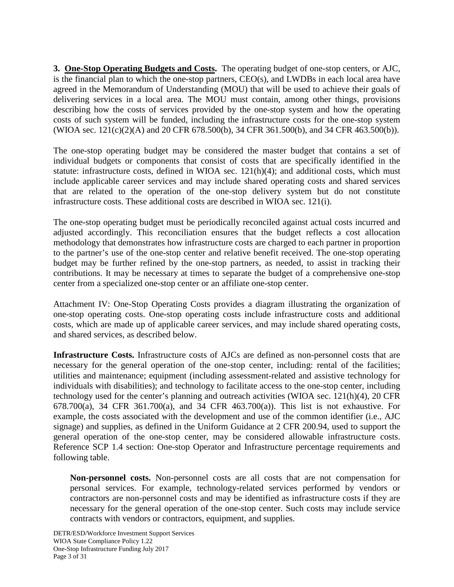**3. One-Stop Operating Budgets and Costs.** The operating budget of one-stop centers, or AJC, is the financial plan to which the one-stop partners, CEO(s), and LWDBs in each local area have agreed in the Memorandum of Understanding (MOU) that will be used to achieve their goals of delivering services in a local area. The MOU must contain, among other things, provisions describing how the costs of services provided by the one-stop system and how the operating costs of such system will be funded, including the infrastructure costs for the one-stop system (WIOA sec. 121(c)(2)(A) and 20 CFR 678.500(b), 34 CFR 361.500(b), and 34 CFR 463.500(b)).

The one-stop operating budget may be considered the master budget that contains a set of individual budgets or components that consist of costs that are specifically identified in the statute: infrastructure costs, defined in WIOA sec. 121(h)(4); and additional costs, which must include applicable career services and may include shared operating costs and shared services that are related to the operation of the one-stop delivery system but do not constitute infrastructure costs. These additional costs are described in WIOA sec. 121(i).

The one-stop operating budget must be periodically reconciled against actual costs incurred and adjusted accordingly. This reconciliation ensures that the budget reflects a cost allocation methodology that demonstrates how infrastructure costs are charged to each partner in proportion to the partner's use of the one-stop center and relative benefit received. The one-stop operating budget may be further refined by the one-stop partners, as needed, to assist in tracking their contributions. It may be necessary at times to separate the budget of a comprehensive one-stop center from a specialized one-stop center or an affiliate one-stop center.

Attachment IV: One-Stop Operating Costs provides a diagram illustrating the organization of one-stop operating costs. One-stop operating costs include infrastructure costs and additional costs, which are made up of applicable career services, and may include shared operating costs, and shared services, as described below.

**Infrastructure Costs.** Infrastructure costs of AJCs are defined as non-personnel costs that are necessary for the general operation of the one-stop center, including: rental of the facilities; utilities and maintenance; equipment (including assessment-related and assistive technology for individuals with disabilities); and technology to facilitate access to the one-stop center, including technology used for the center's planning and outreach activities (WIOA sec. 121(h)(4), 20 CFR 678.700(a), 34 CFR 361.700(a), and 34 CFR 463.700(a)). This list is not exhaustive. For example, the costs associated with the development and use of the common identifier (i.e., AJC signage) and supplies, as defined in the Uniform Guidance at 2 CFR 200.94, used to support the general operation of the one-stop center, may be considered allowable infrastructure costs. Reference SCP 1.4 section: One-stop Operator and Infrastructure percentage requirements and following table.

**Non-personnel costs.** Non-personnel costs are all costs that are not compensation for personal services. For example, technology-related services performed by vendors or contractors are non-personnel costs and may be identified as infrastructure costs if they are necessary for the general operation of the one-stop center. Such costs may include service contracts with vendors or contractors, equipment, and supplies.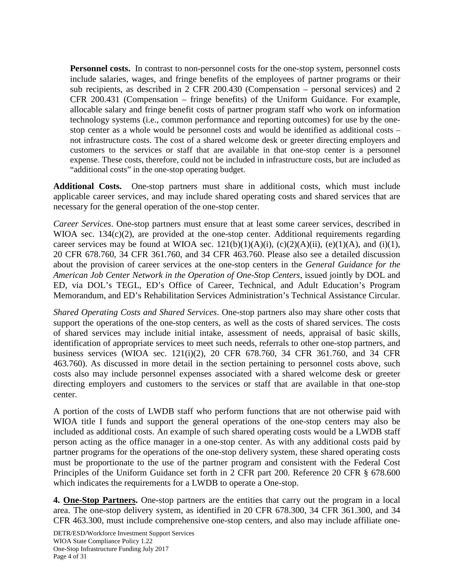**Personnel costs.** In contrast to non-personnel costs for the one-stop system, personnel costs include salaries, wages, and fringe benefits of the employees of partner programs or their sub recipients, as described in 2 CFR 200.430 (Compensation – personal services) and 2 CFR 200.431 (Compensation – fringe benefits) of the Uniform Guidance. For example, allocable salary and fringe benefit costs of partner program staff who work on information technology systems (i.e., common performance and reporting outcomes) for use by the onestop center as a whole would be personnel costs and would be identified as additional costs – not infrastructure costs. The cost of a shared welcome desk or greeter directing employers and customers to the services or staff that are available in that one-stop center is a personnel expense. These costs, therefore, could not be included in infrastructure costs, but are included as "additional costs" in the one-stop operating budget.

**Additional Costs.** One-stop partners must share in additional costs, which must include applicable career services, and may include shared operating costs and shared services that are necessary for the general operation of the one-stop center.

*Career Services*. One-stop partners must ensure that at least some career services, described in WIOA sec.  $134(c)(2)$ , are provided at the one-stop center. Additional requirements regarding career services may be found at WIOA sec.  $121(b)(1)(A)(i)$ ,  $(c)(2)(A)(ii)$ ,  $(e)(1)(A)$ , and  $(i)(1)$ , 20 CFR 678.760, 34 CFR 361.760, and 34 CFR 463.760. Please also see a detailed discussion about the provision of career services at the one-stop centers in the *General Guidance for the American Job Center Network in the Operation of One-Stop Centers*, issued jointly by DOL and ED, via DOL's TEGL, ED's Office of Career, Technical, and Adult Education's Program Memorandum, and ED's Rehabilitation Services Administration's Technical Assistance Circular.

*Shared Operating Costs and Shared Services*. One-stop partners also may share other costs that support the operations of the one-stop centers, as well as the costs of shared services. The costs of shared services may include initial intake, assessment of needs, appraisal of basic skills, identification of appropriate services to meet such needs, referrals to other one-stop partners, and business services (WIOA sec. 121(i)(2), 20 CFR 678.760, 34 CFR 361.760, and 34 CFR 463.760). As discussed in more detail in the section pertaining to personnel costs above, such costs also may include personnel expenses associated with a shared welcome desk or greeter directing employers and customers to the services or staff that are available in that one-stop center.

A portion of the costs of LWDB staff who perform functions that are not otherwise paid with WIOA title I funds and support the general operations of the one-stop centers may also be included as additional costs. An example of such shared operating costs would be a LWDB staff person acting as the office manager in a one-stop center. As with any additional costs paid by partner programs for the operations of the one-stop delivery system, these shared operating costs must be proportionate to the use of the partner program and consistent with the Federal Cost Principles of the Uniform Guidance set forth in 2 CFR part 200. Reference 20 CFR § 678.600 which indicates the requirements for a LWDB to operate a One-stop.

**4. One-Stop Partners.** One-stop partners are the entities that carry out the program in a local area. The one-stop delivery system, as identified in 20 CFR 678.300, 34 CFR 361.300, and 34 CFR 463.300, must include comprehensive one-stop centers, and also may include affiliate one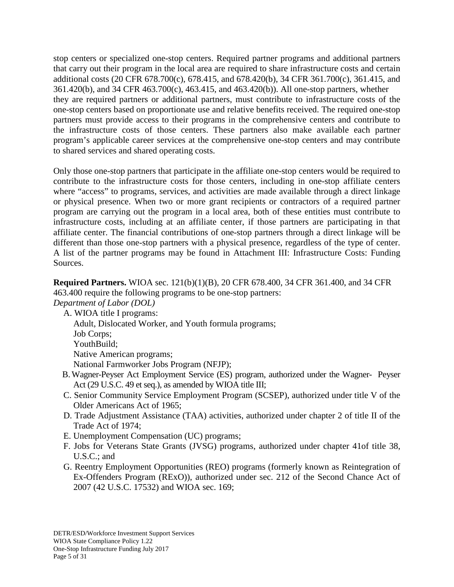stop centers or specialized one-stop centers. Required partner programs and additional partners that carry out their program in the local area are required to share infrastructure costs and certain additional costs (20 CFR 678.700(c), 678.415, and 678.420(b), 34 CFR 361.700(c), 361.415, and 361.420(b), and 34 CFR 463.700(c), 463.415, and 463.420(b)). All one-stop partners, whether they are required partners or additional partners, must contribute to infrastructure costs of the one-stop centers based on proportionate use and relative benefits received. The required one-stop partners must provide access to their programs in the comprehensive centers and contribute to the infrastructure costs of those centers. These partners also make available each partner program's applicable career services at the comprehensive one-stop centers and may contribute to shared services and shared operating costs.

Only those one-stop partners that participate in the affiliate one-stop centers would be required to contribute to the infrastructure costs for those centers, including in one-stop affiliate centers where "access" to programs, services, and activities are made available through a direct linkage or physical presence. When two or more grant recipients or contractors of a required partner program are carrying out the program in a local area, both of these entities must contribute to infrastructure costs, including at an affiliate center, if those partners are participating in that affiliate center. The financial contributions of one-stop partners through a direct linkage will be different than those one-stop partners with a physical presence, regardless of the type of center. A list of the partner programs may be found in Attachment III: Infrastructure Costs: Funding Sources.

# **Required Partners.** WIOA sec. 121(b)(1)(B), 20 CFR 678.400, 34 CFR 361.400, and 34 CFR 463.400 require the following programs to be one-stop partners:

*Department of Labor (DOL)*

A. WIOA title I programs: Adult, Dislocated Worker, and Youth formula programs; Job Corps; YouthBuild: Native American programs; National Farmworker Jobs Program (NFJP);

- B.Wagner-Peyser Act Employment Service (ES) program, authorized under the Wagner- Peyser Act (29 U.S.C. 49 et seq.), as amended by WIOA title III;
- C. Senior Community Service Employment Program (SCSEP), authorized under title V of the Older Americans Act of 1965;
- D. Trade Adjustment Assistance (TAA) activities, authorized under chapter 2 of title II of the Trade Act of 1974;
- E. Unemployment Compensation (UC) programs;
- F. Jobs for Veterans State Grants (JVSG) programs, authorized under chapter 41of title 38, U.S.C.; and
- G. Reentry Employment Opportunities (REO) programs (formerly known as Reintegration of Ex-Offenders Program (RExO)), authorized under sec. 212 of the Second Chance Act of 2007 (42 U.S.C. 17532) and WIOA sec. 169;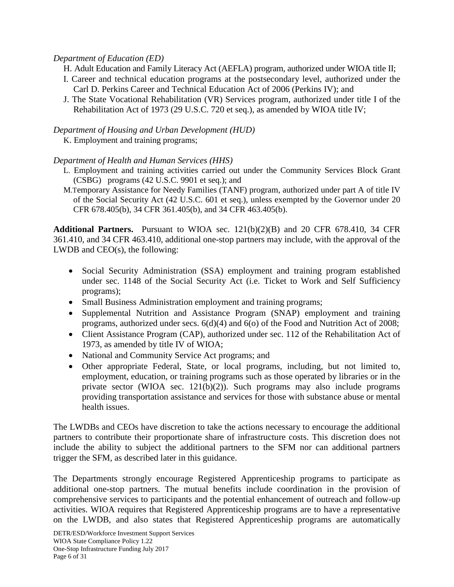## *Department of Education (ED)*

- H. Adult Education and Family Literacy Act (AEFLA) program, authorized under WIOA title II;
- I. Career and technical education programs at the postsecondary level, authorized under the Carl D. Perkins Career and Technical Education Act of 2006 (Perkins IV); and
- J. The State Vocational Rehabilitation (VR) Services program, authorized under title I of the Rehabilitation Act of 1973 (29 U.S.C. 720 et seq.), as amended by WIOA title IV;

### *Department of Housing and Urban Development (HUD)*

K. Employment and training programs;

### *Department of Health and Human Services (HHS)*

- L. Employment and training activities carried out under the Community Services Block Grant (CSBG) programs (42 U.S.C. 9901 et seq.); and
- M.Temporary Assistance for Needy Families (TANF) program, authorized under part A of title IV of the Social Security Act (42 U.S.C. 601 et seq.), unless exempted by the Governor under 20 CFR 678.405(b), 34 CFR 361.405(b), and 34 CFR 463.405(b).

**Additional Partners.** Pursuant to WIOA sec. 121(b)(2)(B) and 20 CFR 678.410, 34 CFR 361.410, and 34 CFR 463.410, additional one-stop partners may include, with the approval of the LWDB and CEO(s), the following:

- Social Security Administration (SSA) employment and training program established under sec. 1148 of the Social Security Act (i.e. Ticket to Work and Self Sufficiency programs);
- Small Business Administration employment and training programs;
- Supplemental Nutrition and Assistance Program (SNAP) employment and training programs, authorized under secs. 6(d)(4) and 6(o) of the Food and Nutrition Act of 2008;
- Client Assistance Program (CAP), authorized under sec. 112 of the Rehabilitation Act of 1973, as amended by title IV of WIOA;
- National and Community Service Act programs; and
- Other appropriate Federal, State, or local programs, including, but not limited to, employment, education, or training programs such as those operated by libraries or in the private sector (WIOA sec. 121(b)(2)). Such programs may also include programs providing transportation assistance and services for those with substance abuse or mental health issues.

The LWDBs and CEOs have discretion to take the actions necessary to encourage the additional partners to contribute their proportionate share of infrastructure costs. This discretion does not include the ability to subject the additional partners to the SFM nor can additional partners trigger the SFM, as described later in this guidance.

The Departments strongly encourage Registered Apprenticeship programs to participate as additional one-stop partners. The mutual benefits include coordination in the provision of comprehensive services to participants and the potential enhancement of outreach and follow-up activities. WIOA requires that Registered Apprenticeship programs are to have a representative on the LWDB, and also states that Registered Apprenticeship programs are automatically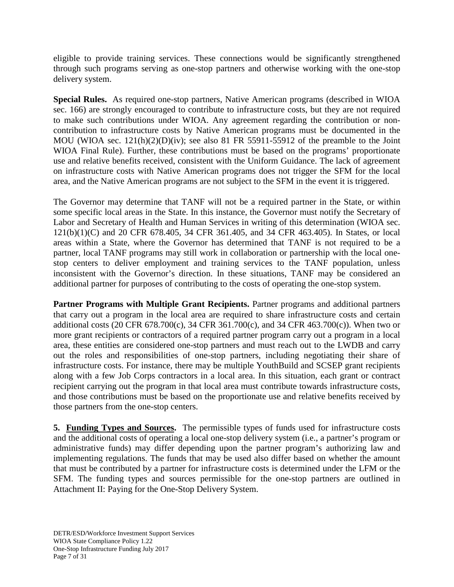eligible to provide training services. These connections would be significantly strengthened through such programs serving as one-stop partners and otherwise working with the one-stop delivery system.

**Special Rules.** As required one-stop partners, Native American programs (described in WIOA sec. 166) are strongly encouraged to contribute to infrastructure costs, but they are not required to make such contributions under WIOA. Any agreement regarding the contribution or noncontribution to infrastructure costs by Native American programs must be documented in the MOU (WIOA sec. 121(h)(2)(D)(iv); see also 81 FR 55911-55912 of the preamble to the Joint WIOA Final Rule). Further, these contributions must be based on the programs' proportionate use and relative benefits received, consistent with the Uniform Guidance. The lack of agreement on infrastructure costs with Native American programs does not trigger the SFM for the local area, and the Native American programs are not subject to the SFM in the event it is triggered.

The Governor may determine that TANF will not be a required partner in the State, or within some specific local areas in the State. In this instance, the Governor must notify the Secretary of Labor and Secretary of Health and Human Services in writing of this determination (WIOA sec. 121(b)(1)(C) and 20 CFR 678.405, 34 CFR 361.405, and 34 CFR 463.405). In States, or local areas within a State, where the Governor has determined that TANF is not required to be a partner, local TANF programs may still work in collaboration or partnership with the local onestop centers to deliver employment and training services to the TANF population, unless inconsistent with the Governor's direction. In these situations, TANF may be considered an additional partner for purposes of contributing to the costs of operating the one-stop system.

**Partner Programs with Multiple Grant Recipients.** Partner programs and additional partners that carry out a program in the local area are required to share infrastructure costs and certain additional costs (20 CFR 678.700(c), 34 CFR 361.700(c), and 34 CFR 463.700(c)). When two or more grant recipients or contractors of a required partner program carry out a program in a local area, these entities are considered one-stop partners and must reach out to the LWDB and carry out the roles and responsibilities of one-stop partners, including negotiating their share of infrastructure costs. For instance, there may be multiple YouthBuild and SCSEP grant recipients along with a few Job Corps contractors in a local area. In this situation, each grant or contract recipient carrying out the program in that local area must contribute towards infrastructure costs, and those contributions must be based on the proportionate use and relative benefits received by those partners from the one-stop centers.

**5. Funding Types and Sources.** The permissible types of funds used for infrastructure costs and the additional costs of operating a local one-stop delivery system (i.e., a partner's program or administrative funds) may differ depending upon the partner program's authorizing law and implementing regulations. The funds that may be used also differ based on whether the amount that must be contributed by a partner for infrastructure costs is determined under the LFM or the SFM. The funding types and sources permissible for the one-stop partners are outlined in Attachment II: Paying for the One-Stop Delivery System.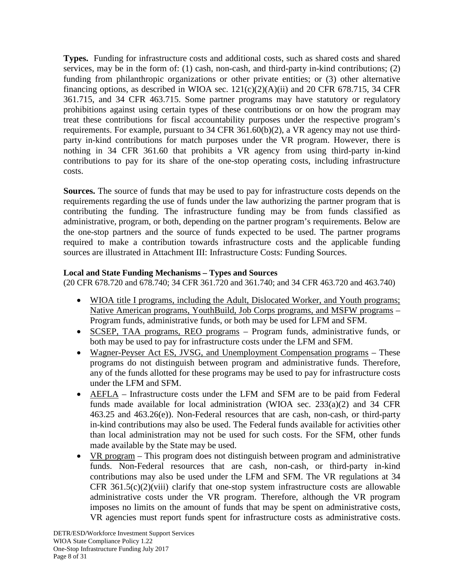**Types.** Funding for infrastructure costs and additional costs, such as shared costs and shared services, may be in the form of: (1) cash, non-cash, and third-party in-kind contributions; (2) funding from philanthropic organizations or other private entities; or (3) other alternative financing options, as described in WIOA sec.  $121(c)(2)(A)(ii)$  and 20 CFR 678.715, 34 CFR 361.715, and 34 CFR 463.715. Some partner programs may have statutory or regulatory prohibitions against using certain types of these contributions or on how the program may treat these contributions for fiscal accountability purposes under the respective program's requirements. For example, pursuant to 34 CFR 361.60(b)(2), a VR agency may not use thirdparty in-kind contributions for match purposes under the VR program. However, there is nothing in 34 CFR 361.60 that prohibits a VR agency from using third-party in-kind contributions to pay for its share of the one-stop operating costs, including infrastructure costs.

**Sources.** The source of funds that may be used to pay for infrastructure costs depends on the requirements regarding the use of funds under the law authorizing the partner program that is contributing the funding. The infrastructure funding may be from funds classified as administrative, program, or both, depending on the partner program's requirements. Below are the one-stop partners and the source of funds expected to be used. The partner programs required to make a contribution towards infrastructure costs and the applicable funding sources are illustrated in Attachment III: Infrastructure Costs: Funding Sources.

## **Local and State Funding Mechanisms – Types and Sources**

(20 CFR 678.720 and 678.740; 34 CFR 361.720 and 361.740; and 34 CFR 463.720 and 463.740)

- WIOA title I programs, including the Adult, Dislocated Worker, and Youth programs; Native American programs, YouthBuild, Job Corps programs, and MSFW programs – Program funds, administrative funds, or both may be used for LFM and SFM.
- SCSEP, TAA programs, REO programs Program funds, administrative funds, or both may be used to pay for infrastructure costs under the LFM and SFM.
- Wagner-Peyser Act ES, JVSG, and Unemployment Compensation programs These programs do not distinguish between program and administrative funds. Therefore, any of the funds allotted for these programs may be used to pay for infrastructure costs under the LFM and SFM.
- AEFLA Infrastructure costs under the LFM and SFM are to be paid from Federal funds made available for local administration (WIOA sec.  $233(a)(2)$  and 34 CFR 463.25 and 463.26(e)). Non-Federal resources that are cash, non-cash, or third-party in-kind contributions may also be used. The Federal funds available for activities other than local administration may not be used for such costs. For the SFM, other funds made available by the State may be used.
- VR program This program does not distinguish between program and administrative funds. Non-Federal resources that are cash, non-cash, or third-party in-kind contributions may also be used under the LFM and SFM. The VR regulations at 34 CFR  $361.5(c)(2)(viii)$  clarify that one-stop system infrastructure costs are allowable administrative costs under the VR program. Therefore, although the VR program imposes no limits on the amount of funds that may be spent on administrative costs, VR agencies must report funds spent for infrastructure costs as administrative costs.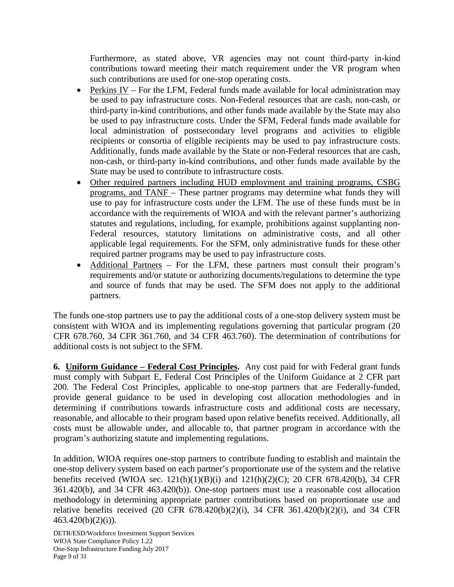Furthermore, as stated above, VR agencies may not count third-party in-kind contributions toward meeting their match requirement under the VR program when such contributions are used for one-stop operating costs.

- Perkins IV For the LFM, Federal funds made available for local administration may be used to pay infrastructure costs. Non-Federal resources that are cash, non-cash, or third-party in-kind contributions, and other funds made available by the State may also be used to pay infrastructure costs. Under the SFM, Federal funds made available for local administration of postsecondary level programs and activities to eligible recipients or consortia of eligible recipients may be used to pay infrastructure costs. Additionally, funds made available by the State or non-Federal resources that are cash, non-cash, or third-party in-kind contributions, and other funds made available by the State may be used to contribute to infrastructure costs.
- Other required partners including HUD employment and training programs, CSBG programs, and TANF – These partner programs may determine what funds they will use to pay for infrastructure costs under the LFM. The use of these funds must be in accordance with the requirements of WIOA and with the relevant partner's authorizing statutes and regulations, including, for example, prohibitions against supplanting non-Federal resources, statutory limitations on administrative costs, and all other applicable legal requirements. For the SFM, only administrative funds for these other required partner programs may be used to pay infrastructure costs.
- Additional Partners For the LFM, these partners must consult their program's requirements and/or statute or authorizing documents/regulations to determine the type and source of funds that may be used. The SFM does not apply to the additional partners.

The funds one-stop partners use to pay the additional costs of a one-stop delivery system must be consistent with WIOA and its implementing regulations governing that particular program (20 CFR 678.760, 34 CFR 361.760, and 34 CFR 463.760). The determination of contributions for additional costs is not subject to the SFM.

**6. Uniform Guidance – Federal Cost Principles.** Any cost paid for with Federal grant funds must comply with Subpart E, Federal Cost Principles of the Uniform Guidance at 2 CFR part 200. The Federal Cost Principles, applicable to one-stop partners that are Federally-funded, provide general guidance to be used in developing cost allocation methodologies and in determining if contributions towards infrastructure costs and additional costs are necessary, reasonable, and allocable to their program based upon relative benefits received. Additionally, all costs must be allowable under, and allocable to, that partner program in accordance with the program's authorizing statute and implementing regulations.

In addition, WIOA requires one-stop partners to contribute funding to establish and maintain the one-stop delivery system based on each partner's proportionate use of the system and the relative benefits received (WIOA sec. 121(h)(1)(B)(i) and 121(h)(2)(C); 20 CFR 678.420(b), 34 CFR 361.420(b), and 34 CFR 463.420(b)). One-stop partners must use a reasonable cost allocation methodology in determining appropriate partner contributions based on proportionate use and relative benefits received (20 CFR 678.420(b)(2)(i), 34 CFR 361.420(b)(2)(i), and 34 CFR  $463.420(b)(2)(i)$ ).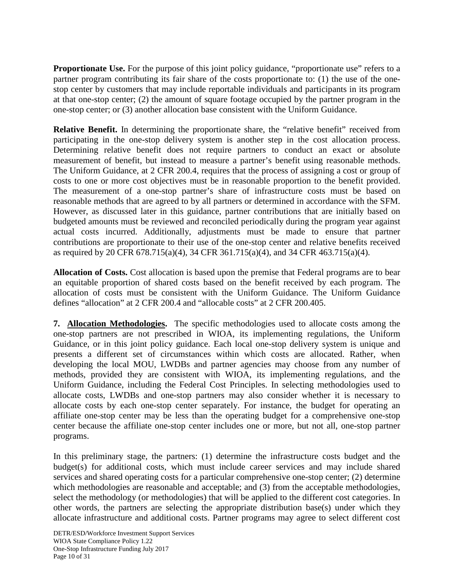**Proportionate Use.** For the purpose of this joint policy guidance, "proportionate use" refers to a partner program contributing its fair share of the costs proportionate to: (1) the use of the onestop center by customers that may include reportable individuals and participants in its program at that one-stop center; (2) the amount of square footage occupied by the partner program in the one-stop center; or (3) another allocation base consistent with the Uniform Guidance.

**Relative Benefit.** In determining the proportionate share, the "relative benefit" received from participating in the one-stop delivery system is another step in the cost allocation process. Determining relative benefit does not require partners to conduct an exact or absolute measurement of benefit, but instead to measure a partner's benefit using reasonable methods. The Uniform Guidance, at 2 CFR 200.4, requires that the process of assigning a cost or group of costs to one or more cost objectives must be in reasonable proportion to the benefit provided. The measurement of a one-stop partner's share of infrastructure costs must be based on reasonable methods that are agreed to by all partners or determined in accordance with the SFM. However, as discussed later in this guidance, partner contributions that are initially based on budgeted amounts must be reviewed and reconciled periodically during the program year against actual costs incurred. Additionally, adjustments must be made to ensure that partner contributions are proportionate to their use of the one-stop center and relative benefits received as required by 20 CFR 678.715(a)(4), 34 CFR 361.715(a)(4), and 34 CFR 463.715(a)(4).

**Allocation of Costs.** Cost allocation is based upon the premise that Federal programs are to bear an equitable proportion of shared costs based on the benefit received by each program. The allocation of costs must be consistent with the Uniform Guidance. The Uniform Guidance defines "allocation" at 2 CFR 200.4 and "allocable costs" at 2 CFR 200.405.

**7. Allocation Methodologies.** The specific methodologies used to allocate costs among the one-stop partners are not prescribed in WIOA, its implementing regulations, the Uniform Guidance, or in this joint policy guidance. Each local one-stop delivery system is unique and presents a different set of circumstances within which costs are allocated. Rather, when developing the local MOU, LWDBs and partner agencies may choose from any number of methods, provided they are consistent with WIOA, its implementing regulations, and the Uniform Guidance, including the Federal Cost Principles. In selecting methodologies used to allocate costs, LWDBs and one-stop partners may also consider whether it is necessary to allocate costs by each one-stop center separately. For instance, the budget for operating an affiliate one-stop center may be less than the operating budget for a comprehensive one-stop center because the affiliate one-stop center includes one or more, but not all, one-stop partner programs.

In this preliminary stage, the partners: (1) determine the infrastructure costs budget and the budget(s) for additional costs, which must include career services and may include shared services and shared operating costs for a particular comprehensive one-stop center; (2) determine which methodologies are reasonable and acceptable; and (3) from the acceptable methodologies, select the methodology (or methodologies) that will be applied to the different cost categories. In other words, the partners are selecting the appropriate distribution base(s) under which they allocate infrastructure and additional costs. Partner programs may agree to select different cost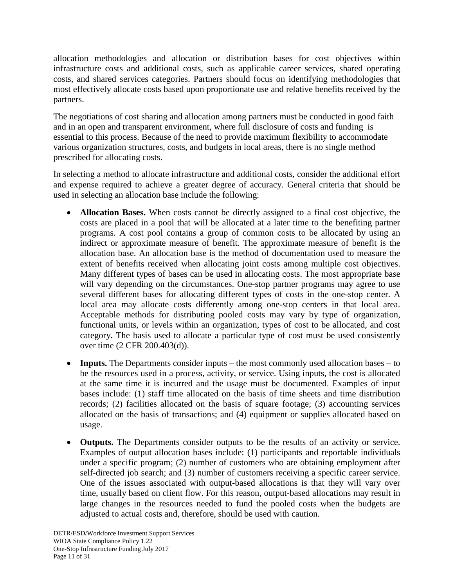allocation methodologies and allocation or distribution bases for cost objectives within infrastructure costs and additional costs, such as applicable career services, shared operating costs, and shared services categories. Partners should focus on identifying methodologies that most effectively allocate costs based upon proportionate use and relative benefits received by the partners.

The negotiations of cost sharing and allocation among partners must be conducted in good faith and in an open and transparent environment, where full disclosure of costs and funding is essential to this process. Because of the need to provide maximum flexibility to accommodate various organization structures, costs, and budgets in local areas, there is no single method prescribed for allocating costs.

In selecting a method to allocate infrastructure and additional costs, consider the additional effort and expense required to achieve a greater degree of accuracy. General criteria that should be used in selecting an allocation base include the following:

- **Allocation Bases.** When costs cannot be directly assigned to a final cost objective, the costs are placed in a pool that will be allocated at a later time to the benefiting partner programs. A cost pool contains a group of common costs to be allocated by using an indirect or approximate measure of benefit. The approximate measure of benefit is the allocation base. An allocation base is the method of documentation used to measure the extent of benefits received when allocating joint costs among multiple cost objectives. Many different types of bases can be used in allocating costs. The most appropriate base will vary depending on the circumstances. One-stop partner programs may agree to use several different bases for allocating different types of costs in the one-stop center. A local area may allocate costs differently among one-stop centers in that local area. Acceptable methods for distributing pooled costs may vary by type of organization, functional units, or levels within an organization, types of cost to be allocated, and cost category. The basis used to allocate a particular type of cost must be used consistently over time (2 CFR 200.403(d)).
- **Inputs.** The Departments consider inputs the most commonly used allocation bases to be the resources used in a process, activity, or service. Using inputs, the cost is allocated at the same time it is incurred and the usage must be documented. Examples of input bases include: (1) staff time allocated on the basis of time sheets and time distribution records; (2) facilities allocated on the basis of square footage; (3) accounting services allocated on the basis of transactions; and (4) equipment or supplies allocated based on usage.
- **Outputs.** The Departments consider outputs to be the results of an activity or service. Examples of output allocation bases include: (1) participants and reportable individuals under a specific program; (2) number of customers who are obtaining employment after self-directed job search; and (3) number of customers receiving a specific career service. One of the issues associated with output-based allocations is that they will vary over time, usually based on client flow. For this reason, output-based allocations may result in large changes in the resources needed to fund the pooled costs when the budgets are adjusted to actual costs and, therefore, should be used with caution.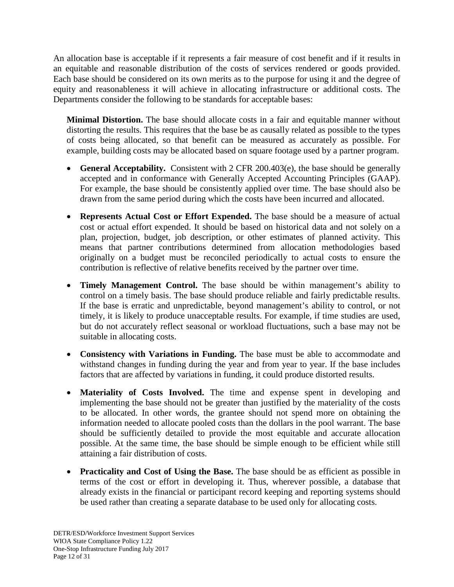An allocation base is acceptable if it represents a fair measure of cost benefit and if it results in an equitable and reasonable distribution of the costs of services rendered or goods provided. Each base should be considered on its own merits as to the purpose for using it and the degree of equity and reasonableness it will achieve in allocating infrastructure or additional costs. The Departments consider the following to be standards for acceptable bases:

**Minimal Distortion.** The base should allocate costs in a fair and equitable manner without distorting the results. This requires that the base be as causally related as possible to the types of costs being allocated, so that benefit can be measured as accurately as possible. For example, building costs may be allocated based on square footage used by a partner program.

- **General Acceptability.** Consistent with 2 CFR 200.403(e), the base should be generally accepted and in conformance with Generally Accepted Accounting Principles (GAAP). For example, the base should be consistently applied over time. The base should also be drawn from the same period during which the costs have been incurred and allocated.
- **Represents Actual Cost or Effort Expended.** The base should be a measure of actual cost or actual effort expended. It should be based on historical data and not solely on a plan, projection, budget, job description, or other estimates of planned activity. This means that partner contributions determined from allocation methodologies based originally on a budget must be reconciled periodically to actual costs to ensure the contribution is reflective of relative benefits received by the partner over time.
- **Timely Management Control.** The base should be within management's ability to control on a timely basis. The base should produce reliable and fairly predictable results. If the base is erratic and unpredictable, beyond management's ability to control, or not timely, it is likely to produce unacceptable results. For example, if time studies are used, but do not accurately reflect seasonal or workload fluctuations, such a base may not be suitable in allocating costs.
- **Consistency with Variations in Funding.** The base must be able to accommodate and withstand changes in funding during the year and from year to year. If the base includes factors that are affected by variations in funding, it could produce distorted results.
- **Materiality of Costs Involved.** The time and expense spent in developing and implementing the base should not be greater than justified by the materiality of the costs to be allocated. In other words, the grantee should not spend more on obtaining the information needed to allocate pooled costs than the dollars in the pool warrant. The base should be sufficiently detailed to provide the most equitable and accurate allocation possible. At the same time, the base should be simple enough to be efficient while still attaining a fair distribution of costs.
- **Practicality and Cost of Using the Base.** The base should be as efficient as possible in terms of the cost or effort in developing it. Thus, wherever possible, a database that already exists in the financial or participant record keeping and reporting systems should be used rather than creating a separate database to be used only for allocating costs.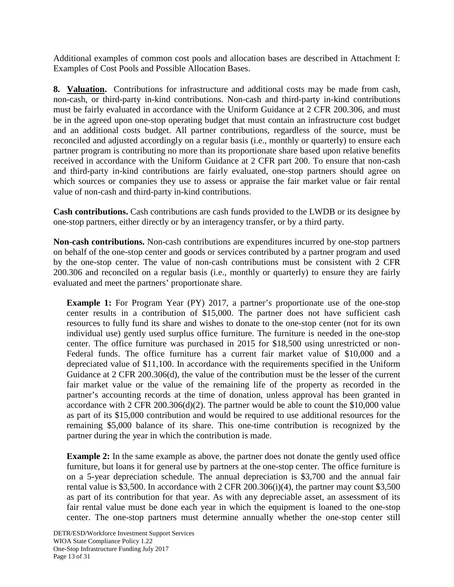Additional examples of common cost pools and allocation bases are described in Attachment I: Examples of Cost Pools and Possible Allocation Bases.

**8. Valuation.** Contributions for infrastructure and additional costs may be made from cash, non-cash, or third-party in-kind contributions. Non-cash and third-party in-kind contributions must be fairly evaluated in accordance with the Uniform Guidance at 2 CFR 200.306, and must be in the agreed upon one-stop operating budget that must contain an infrastructure cost budget and an additional costs budget. All partner contributions, regardless of the source, must be reconciled and adjusted accordingly on a regular basis (i.e., monthly or quarterly) to ensure each partner program is contributing no more than its proportionate share based upon relative benefits received in accordance with the Uniform Guidance at 2 CFR part 200. To ensure that non-cash and third-party in-kind contributions are fairly evaluated, one-stop partners should agree on which sources or companies they use to assess or appraise the fair market value or fair rental value of non-cash and third-party in-kind contributions.

**Cash contributions.** Cash contributions are cash funds provided to the LWDB or its designee by one-stop partners, either directly or by an interagency transfer, or by a third party.

**Non-cash contributions.** Non-cash contributions are expenditures incurred by one-stop partners on behalf of the one-stop center and goods or services contributed by a partner program and used by the one-stop center. The value of non-cash contributions must be consistent with 2 CFR 200.306 and reconciled on a regular basis (i.e., monthly or quarterly) to ensure they are fairly evaluated and meet the partners' proportionate share.

**Example 1:** For Program Year (PY) 2017, a partner's proportionate use of the one-stop center results in a contribution of \$15,000. The partner does not have sufficient cash resources to fully fund its share and wishes to donate to the one-stop center (not for its own individual use) gently used surplus office furniture. The furniture is needed in the one-stop center. The office furniture was purchased in 2015 for \$18,500 using unrestricted or non-Federal funds. The office furniture has a current fair market value of \$10,000 and a depreciated value of \$11,100. In accordance with the requirements specified in the Uniform Guidance at 2 CFR 200.306(d), the value of the contribution must be the lesser of the current fair market value or the value of the remaining life of the property as recorded in the partner's accounting records at the time of donation, unless approval has been granted in accordance with 2 CFR  $200.306(d)(2)$ . The partner would be able to count the \$10,000 value as part of its \$15,000 contribution and would be required to use additional resources for the remaining \$5,000 balance of its share. This one-time contribution is recognized by the partner during the year in which the contribution is made.

**Example 2:** In the same example as above, the partner does not donate the gently used office furniture, but loans it for general use by partners at the one-stop center. The office furniture is on a 5-year depreciation schedule. The annual depreciation is \$3,700 and the annual fair rental value is \$3,500. In accordance with 2 CFR 200.306(i)(4), the partner may count \$3,500 as part of its contribution for that year. As with any depreciable asset, an assessment of its fair rental value must be done each year in which the equipment is loaned to the one-stop center. The one-stop partners must determine annually whether the one-stop center still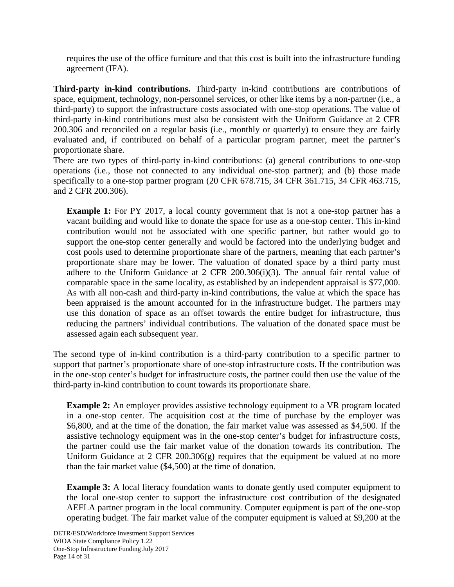requires the use of the office furniture and that this cost is built into the infrastructure funding agreement (IFA).

**Third-party in-kind contributions.** Third-party in-kind contributions are contributions of space, equipment, technology, non-personnel services, or other like items by a non-partner (i.e., a third-party) to support the infrastructure costs associated with one-stop operations. The value of third-party in-kind contributions must also be consistent with the Uniform Guidance at 2 CFR 200.306 and reconciled on a regular basis (i.e., monthly or quarterly) to ensure they are fairly evaluated and, if contributed on behalf of a particular program partner, meet the partner's proportionate share.

There are two types of third-party in-kind contributions: (a) general contributions to one-stop operations (i.e., those not connected to any individual one-stop partner); and (b) those made specifically to a one-stop partner program (20 CFR 678.715, 34 CFR 361.715, 34 CFR 463.715, and 2 CFR 200.306).

**Example 1:** For PY 2017, a local county government that is not a one-stop partner has a vacant building and would like to donate the space for use as a one-stop center. This in-kind contribution would not be associated with one specific partner, but rather would go to support the one-stop center generally and would be factored into the underlying budget and cost pools used to determine proportionate share of the partners, meaning that each partner's proportionate share may be lower. The valuation of donated space by a third party must adhere to the Uniform Guidance at 2 CFR 200.306(i)(3). The annual fair rental value of comparable space in the same locality, as established by an independent appraisal is \$77,000. As with all non-cash and third-party in-kind contributions, the value at which the space has been appraised is the amount accounted for in the infrastructure budget. The partners may use this donation of space as an offset towards the entire budget for infrastructure, thus reducing the partners' individual contributions. The valuation of the donated space must be assessed again each subsequent year.

The second type of in-kind contribution is a third-party contribution to a specific partner to support that partner's proportionate share of one-stop infrastructure costs. If the contribution was in the one-stop center's budget for infrastructure costs, the partner could then use the value of the third-party in-kind contribution to count towards its proportionate share.

**Example 2:** An employer provides assistive technology equipment to a VR program located in a one-stop center. The acquisition cost at the time of purchase by the employer was \$6,800, and at the time of the donation, the fair market value was assessed as \$4,500. If the assistive technology equipment was in the one-stop center's budget for infrastructure costs, the partner could use the fair market value of the donation towards its contribution. The Uniform Guidance at 2 CFR 200.306(g) requires that the equipment be valued at no more than the fair market value (\$4,500) at the time of donation.

**Example 3:** A local literacy foundation wants to donate gently used computer equipment to the local one-stop center to support the infrastructure cost contribution of the designated AEFLA partner program in the local community. Computer equipment is part of the one-stop operating budget. The fair market value of the computer equipment is valued at \$9,200 at the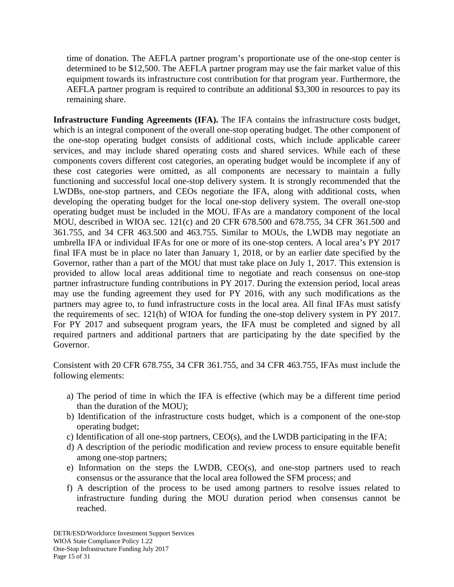time of donation. The AEFLA partner program's proportionate use of the one-stop center is determined to be \$12,500. The AEFLA partner program may use the fair market value of this equipment towards its infrastructure cost contribution for that program year. Furthermore, the AEFLA partner program is required to contribute an additional \$3,300 in resources to pay its remaining share.

**Infrastructure Funding Agreements (IFA).** The IFA contains the infrastructure costs budget, which is an integral component of the overall one-stop operating budget. The other component of the one-stop operating budget consists of additional costs, which include applicable career services, and may include shared operating costs and shared services. While each of these components covers different cost categories, an operating budget would be incomplete if any of these cost categories were omitted, as all components are necessary to maintain a fully functioning and successful local one-stop delivery system. It is strongly recommended that the LWDBs, one-stop partners, and CEOs negotiate the IFA, along with additional costs, when developing the operating budget for the local one-stop delivery system. The overall one-stop operating budget must be included in the MOU. IFAs are a mandatory component of the local MOU, described in WIOA sec. 121(c) and 20 CFR 678.500 and 678.755, 34 CFR 361.500 and 361.755, and 34 CFR 463.500 and 463.755. Similar to MOUs, the LWDB may negotiate an umbrella IFA or individual IFAs for one or more of its one-stop centers. A local area's PY 2017 final IFA must be in place no later than January 1, 2018, or by an earlier date specified by the Governor, rather than a part of the MOU that must take place on July 1, 2017. This extension is provided to allow local areas additional time to negotiate and reach consensus on one-stop partner infrastructure funding contributions in PY 2017. During the extension period, local areas may use the funding agreement they used for PY 2016, with any such modifications as the partners may agree to, to fund infrastructure costs in the local area. All final IFAs must satisfy the requirements of sec. 121(h) of WIOA for funding the one-stop delivery system in PY 2017. For PY 2017 and subsequent program years, the IFA must be completed and signed by all required partners and additional partners that are participating by the date specified by the Governor.

Consistent with 20 CFR 678.755, 34 CFR 361.755, and 34 CFR 463.755, IFAs must include the following elements:

- a) The period of time in which the IFA is effective (which may be a different time period than the duration of the MOU);
- b) Identification of the infrastructure costs budget, which is a component of the one-stop operating budget;
- c) Identification of all one-stop partners,  $CEO(s)$ , and the LWDB participating in the IFA;
- d) A description of the periodic modification and review process to ensure equitable benefit among one-stop partners;
- e) Information on the steps the LWDB, CEO(s), and one-stop partners used to reach consensus or the assurance that the local area followed the SFM process; and
- f) A description of the process to be used among partners to resolve issues related to infrastructure funding during the MOU duration period when consensus cannot be reached.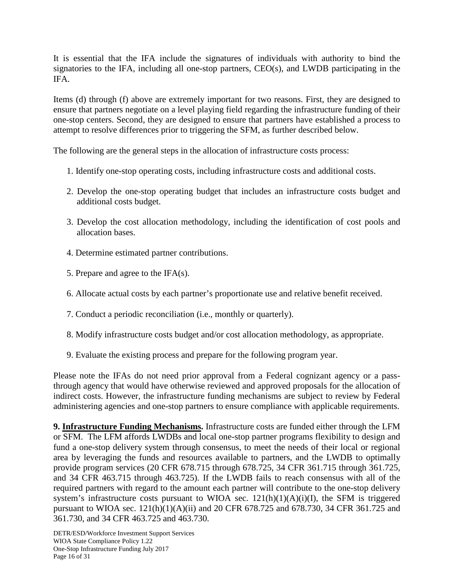It is essential that the IFA include the signatures of individuals with authority to bind the signatories to the IFA, including all one-stop partners, CEO(s), and LWDB participating in the IFA.

Items (d) through (f) above are extremely important for two reasons. First, they are designed to ensure that partners negotiate on a level playing field regarding the infrastructure funding of their one-stop centers. Second, they are designed to ensure that partners have established a process to attempt to resolve differences prior to triggering the SFM, as further described below.

The following are the general steps in the allocation of infrastructure costs process:

- 1. Identify one-stop operating costs, including infrastructure costs and additional costs.
- 2. Develop the one-stop operating budget that includes an infrastructure costs budget and additional costs budget.
- 3. Develop the cost allocation methodology, including the identification of cost pools and allocation bases.
- 4. Determine estimated partner contributions.
- 5. Prepare and agree to the IFA(s).
- 6. Allocate actual costs by each partner's proportionate use and relative benefit received.
- 7. Conduct a periodic reconciliation (i.e., monthly or quarterly).
- 8. Modify infrastructure costs budget and/or cost allocation methodology, as appropriate.
- 9. Evaluate the existing process and prepare for the following program year.

Please note the IFAs do not need prior approval from a Federal cognizant agency or a passthrough agency that would have otherwise reviewed and approved proposals for the allocation of indirect costs. However, the infrastructure funding mechanisms are subject to review by Federal administering agencies and one-stop partners to ensure compliance with applicable requirements.

**9. Infrastructure Funding Mechanisms.** Infrastructure costs are funded either through the LFM or SFM. The LFM affords LWDBs and local one-stop partner programs flexibility to design and fund a one-stop delivery system through consensus, to meet the needs of their local or regional area by leveraging the funds and resources available to partners, and the LWDB to optimally provide program services (20 CFR 678.715 through 678.725, 34 CFR 361.715 through 361.725, and 34 CFR 463.715 through 463.725). If the LWDB fails to reach consensus with all of the required partners with regard to the amount each partner will contribute to the one-stop delivery system's infrastructure costs pursuant to WIOA sec.  $121(h)(1)(A)(i)(I)$ , the SFM is triggered pursuant to WIOA sec. 121(h)(1)(A)(ii) and 20 CFR 678.725 and 678.730, 34 CFR 361.725 and 361.730, and 34 CFR 463.725 and 463.730.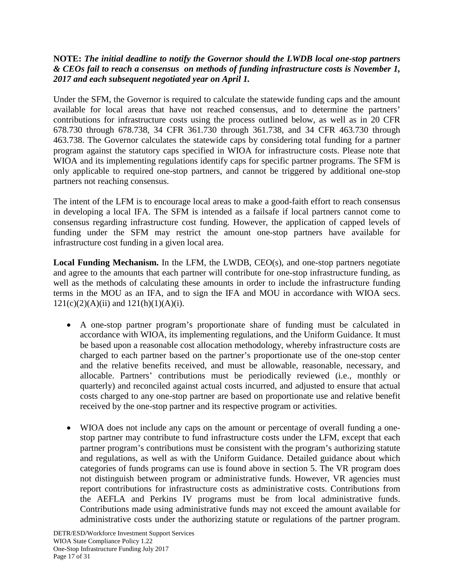## **NOTE:** *The initial deadline to notify the Governor should the LWDB local one-stop partners & CEOs fail to reach a consensus on methods of funding infrastructure costs is November 1, 2017 and each subsequent negotiated year on April 1.*

Under the SFM, the Governor is required to calculate the statewide funding caps and the amount available for local areas that have not reached consensus, and to determine the partners' contributions for infrastructure costs using the process outlined below, as well as in 20 CFR 678.730 through 678.738, 34 CFR 361.730 through 361.738, and 34 CFR 463.730 through 463.738. The Governor calculates the statewide caps by considering total funding for a partner program against the statutory caps specified in WIOA for infrastructure costs. Please note that WIOA and its implementing regulations identify caps for specific partner programs. The SFM is only applicable to required one-stop partners, and cannot be triggered by additional one-stop partners not reaching consensus.

The intent of the LFM is to encourage local areas to make a good-faith effort to reach consensus in developing a local IFA. The SFM is intended as a failsafe if local partners cannot come to consensus regarding infrastructure cost funding. However, the application of capped levels of funding under the SFM may restrict the amount one-stop partners have available for infrastructure cost funding in a given local area.

**Local Funding Mechanism.** In the LFM, the LWDB, CEO(s), and one-stop partners negotiate and agree to the amounts that each partner will contribute for one-stop infrastructure funding, as well as the methods of calculating these amounts in order to include the infrastructure funding terms in the MOU as an IFA, and to sign the IFA and MOU in accordance with WIOA secs.  $121(c)(2)(A)(ii)$  and  $121(h)(1)(A)(i)$ .

- A one-stop partner program's proportionate share of funding must be calculated in accordance with WIOA, its implementing regulations, and the Uniform Guidance. It must be based upon a reasonable cost allocation methodology, whereby infrastructure costs are charged to each partner based on the partner's proportionate use of the one-stop center and the relative benefits received, and must be allowable, reasonable, necessary, and allocable. Partners' contributions must be periodically reviewed (i.e., monthly or quarterly) and reconciled against actual costs incurred, and adjusted to ensure that actual costs charged to any one-stop partner are based on proportionate use and relative benefit received by the one-stop partner and its respective program or activities.
- WIOA does not include any caps on the amount or percentage of overall funding a onestop partner may contribute to fund infrastructure costs under the LFM, except that each partner program's contributions must be consistent with the program's authorizing statute and regulations, as well as with the Uniform Guidance. Detailed guidance about which categories of funds programs can use is found above in section 5. The VR program does not distinguish between program or administrative funds. However, VR agencies must report contributions for infrastructure costs as administrative costs. Contributions from the AEFLA and Perkins IV programs must be from local administrative funds. Contributions made using administrative funds may not exceed the amount available for administrative costs under the authorizing statute or regulations of the partner program.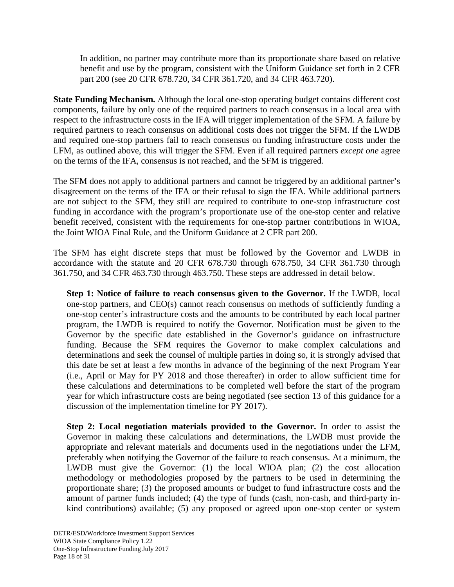In addition, no partner may contribute more than its proportionate share based on relative benefit and use by the program, consistent with the Uniform Guidance set forth in 2 CFR part 200 (see 20 CFR 678.720, 34 CFR 361.720, and 34 CFR 463.720).

**State Funding Mechanism.** Although the local one-stop operating budget contains different cost components, failure by only one of the required partners to reach consensus in a local area with respect to the infrastructure costs in the IFA will trigger implementation of the SFM. A failure by required partners to reach consensus on additional costs does not trigger the SFM. If the LWDB and required one-stop partners fail to reach consensus on funding infrastructure costs under the LFM, as outlined above, this will trigger the SFM. Even if all required partners *except one* agree on the terms of the IFA, consensus is not reached, and the SFM is triggered.

The SFM does not apply to additional partners and cannot be triggered by an additional partner's disagreement on the terms of the IFA or their refusal to sign the IFA. While additional partners are not subject to the SFM, they still are required to contribute to one-stop infrastructure cost funding in accordance with the program's proportionate use of the one-stop center and relative benefit received, consistent with the requirements for one-stop partner contributions in WIOA, the Joint WIOA Final Rule, and the Uniform Guidance at 2 CFR part 200.

The SFM has eight discrete steps that must be followed by the Governor and LWDB in accordance with the statute and 20 CFR 678.730 through 678.750, 34 CFR 361.730 through 361.750, and 34 CFR 463.730 through 463.750. These steps are addressed in detail below.

**Step 1: Notice of failure to reach consensus given to the Governor.** If the LWDB, local one-stop partners, and CEO(s) cannot reach consensus on methods of sufficiently funding a one-stop center's infrastructure costs and the amounts to be contributed by each local partner program, the LWDB is required to notify the Governor. Notification must be given to the Governor by the specific date established in the Governor's guidance on infrastructure funding. Because the SFM requires the Governor to make complex calculations and determinations and seek the counsel of multiple parties in doing so, it is strongly advised that this date be set at least a few months in advance of the beginning of the next Program Year (i.e., April or May for PY 2018 and those thereafter) in order to allow sufficient time for these calculations and determinations to be completed well before the start of the program year for which infrastructure costs are being negotiated (see section 13 of this guidance for a discussion of the implementation timeline for PY 2017).

**Step 2: Local negotiation materials provided to the Governor.** In order to assist the Governor in making these calculations and determinations, the LWDB must provide the appropriate and relevant materials and documents used in the negotiations under the LFM, preferably when notifying the Governor of the failure to reach consensus. At a minimum, the LWDB must give the Governor: (1) the local WIOA plan; (2) the cost allocation methodology or methodologies proposed by the partners to be used in determining the proportionate share; (3) the proposed amounts or budget to fund infrastructure costs and the amount of partner funds included; (4) the type of funds (cash, non-cash, and third-party inkind contributions) available; (5) any proposed or agreed upon one-stop center or system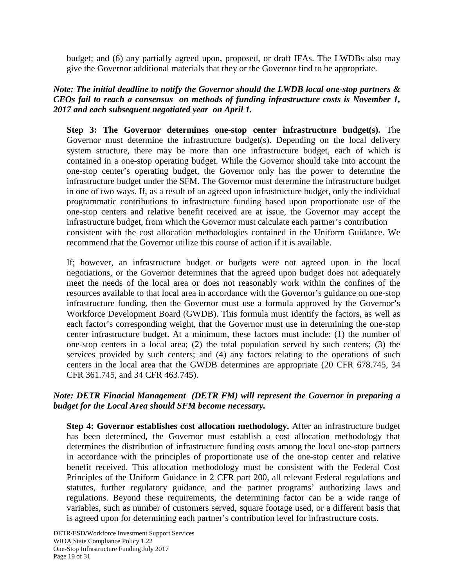budget; and (6) any partially agreed upon, proposed, or draft IFAs. The LWDBs also may give the Governor additional materials that they or the Governor find to be appropriate.

## *Note: The initial deadline to notify the Governor should the LWDB local one-stop partners & CEOs fail to reach a consensus on methods of funding infrastructure costs is November 1, 2017 and each subsequent negotiated year on April 1.*

**Step 3: The Governor determines one-stop center infrastructure budget(s).** The Governor must determine the infrastructure budget(s). Depending on the local delivery system structure, there may be more than one infrastructure budget, each of which is contained in a one-stop operating budget. While the Governor should take into account the one-stop center's operating budget, the Governor only has the power to determine the infrastructure budget under the SFM. The Governor must determine the infrastructure budget in one of two ways. If, as a result of an agreed upon infrastructure budget, only the individual programmatic contributions to infrastructure funding based upon proportionate use of the one-stop centers and relative benefit received are at issue, the Governor may accept the infrastructure budget, from which the Governor must calculate each partner's contribution consistent with the cost allocation methodologies contained in the Uniform Guidance. We recommend that the Governor utilize this course of action if it is available.

If; however, an infrastructure budget or budgets were not agreed upon in the local negotiations, or the Governor determines that the agreed upon budget does not adequately meet the needs of the local area or does not reasonably work within the confines of the resources available to that local area in accordance with the Governor's guidance on one-stop infrastructure funding, then the Governor must use a formula approved by the Governor's Workforce Development Board (GWDB). This formula must identify the factors, as well as each factor's corresponding weight, that the Governor must use in determining the one-stop center infrastructure budget. At a minimum, these factors must include: (1) the number of one-stop centers in a local area; (2) the total population served by such centers; (3) the services provided by such centers; and (4) any factors relating to the operations of such centers in the local area that the GWDB determines are appropriate (20 CFR 678.745, 34 CFR 361.745, and 34 CFR 463.745).

## *Note: DETR Finacial Management (DETR FM) will represent the Governor in preparing a budget for the Local Area should SFM become necessary.*

**Step 4: Governor establishes cost allocation methodology.** After an infrastructure budget has been determined, the Governor must establish a cost allocation methodology that determines the distribution of infrastructure funding costs among the local one-stop partners in accordance with the principles of proportionate use of the one-stop center and relative benefit received. This allocation methodology must be consistent with the Federal Cost Principles of the Uniform Guidance in 2 CFR part 200, all relevant Federal regulations and statutes, further regulatory guidance, and the partner programs' authorizing laws and regulations. Beyond these requirements, the determining factor can be a wide range of variables, such as number of customers served, square footage used, or a different basis that is agreed upon for determining each partner's contribution level for infrastructure costs.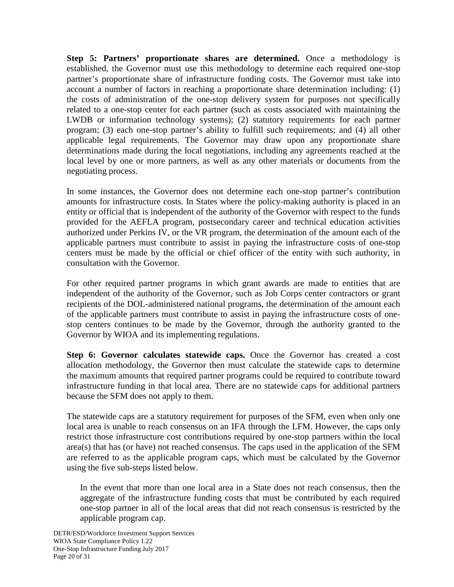**Step 5: Partners' proportionate shares are determined.** Once a methodology is established, the Governor must use this methodology to determine each required one-stop partner's proportionate share of infrastructure funding costs. The Governor must take into account a number of factors in reaching a proportionate share determination including: (1) the costs of administration of the one-stop delivery system for purposes not specifically related to a one-stop center for each partner (such as costs associated with maintaining the LWDB or information technology systems); (2) statutory requirements for each partner program; (3) each one-stop partner's ability to fulfill such requirements; and (4) all other applicable legal requirements. The Governor may draw upon any proportionate share determinations made during the local negotiations, including any agreements reached at the local level by one or more partners, as well as any other materials or documents from the negotiating process.

In some instances, the Governor does not determine each one-stop partner's contribution amounts for infrastructure costs. In States where the policy-making authority is placed in an entity or official that is independent of the authority of the Governor with respect to the funds provided for the AEFLA program, postsecondary career and technical education activities authorized under Perkins IV, or the VR program, the determination of the amount each of the applicable partners must contribute to assist in paying the infrastructure costs of one-stop centers must be made by the official or chief officer of the entity with such authority, in consultation with the Governor.

For other required partner programs in which grant awards are made to entities that are independent of the authority of the Governor, such as Job Corps center contractors or grant recipients of the DOL-administered national programs, the determination of the amount each of the applicable partners must contribute to assist in paying the infrastructure costs of onestop centers continues to be made by the Governor, through the authority granted to the Governor by WIOA and its implementing regulations.

**Step 6: Governor calculates statewide caps.** Once the Governor has created a cost allocation methodology, the Governor then must calculate the statewide caps to determine the maximum amounts that required partner programs could be required to contribute toward infrastructure funding in that local area. There are no statewide caps for additional partners because the SFM does not apply to them.

The statewide caps are a statutory requirement for purposes of the SFM, even when only one local area is unable to reach consensus on an IFA through the LFM. However, the caps only restrict those infrastructure cost contributions required by one-stop partners within the local area(s) that has (or have) not reached consensus. The caps used in the application of the SFM are referred to as the applicable program caps, which must be calculated by the Governor using the five sub-steps listed below.

In the event that more than one local area in a State does not reach consensus, then the aggregate of the infrastructure funding costs that must be contributed by each required one-stop partner in all of the local areas that did not reach consensus is restricted by the applicable program cap.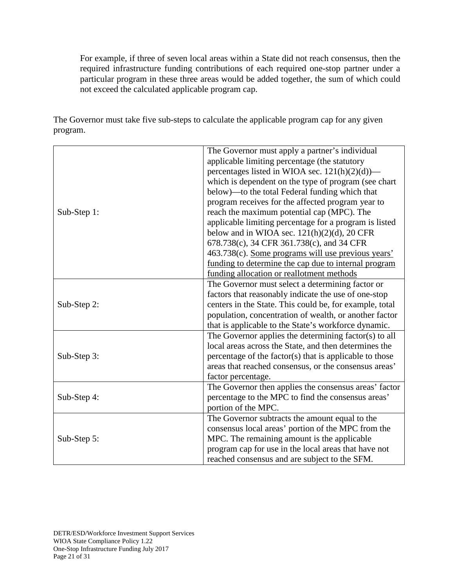For example, if three of seven local areas within a State did not reach consensus, then the required infrastructure funding contributions of each required one-stop partner under a particular program in these three areas would be added together, the sum of which could not exceed the calculated applicable program cap.

The Governor must take five sub-steps to calculate the applicable program cap for any given program.

| Sub-Step 1: | The Governor must apply a partner's individual<br>applicable limiting percentage (the statutory<br>percentages listed in WIOA sec. $121(h)(2)(d)$ —<br>which is dependent on the type of program (see chart<br>below)—to the total Federal funding which that<br>program receives for the affected program year to<br>reach the maximum potential cap (MPC). The<br>applicable limiting percentage for a program is listed |  |  |
|-------------|----------------------------------------------------------------------------------------------------------------------------------------------------------------------------------------------------------------------------------------------------------------------------------------------------------------------------------------------------------------------------------------------------------------------------|--|--|
|             | below and in WIOA sec. $121(h)(2)(d)$ , 20 CFR<br>678.738(c), 34 CFR 361.738(c), and 34 CFR<br>463.738(c). Some programs will use previous years'<br>funding to determine the cap due to internal program<br>funding allocation or reallotment methods                                                                                                                                                                     |  |  |
| Sub-Step 2: | The Governor must select a determining factor or<br>factors that reasonably indicate the use of one-stop<br>centers in the State. This could be, for example, total<br>population, concentration of wealth, or another factor<br>that is applicable to the State's workforce dynamic.                                                                                                                                      |  |  |
| Sub-Step 3: | The Governor applies the determining factor(s) to all<br>local areas across the State, and then determines the<br>percentage of the factor(s) that is applicable to those<br>areas that reached consensus, or the consensus areas'<br>factor percentage.                                                                                                                                                                   |  |  |
| Sub-Step 4: | The Governor then applies the consensus areas' factor<br>percentage to the MPC to find the consensus areas'<br>portion of the MPC.                                                                                                                                                                                                                                                                                         |  |  |
| Sub-Step 5: | The Governor subtracts the amount equal to the<br>consensus local areas' portion of the MPC from the<br>MPC. The remaining amount is the applicable<br>program cap for use in the local areas that have not<br>reached consensus and are subject to the SFM.                                                                                                                                                               |  |  |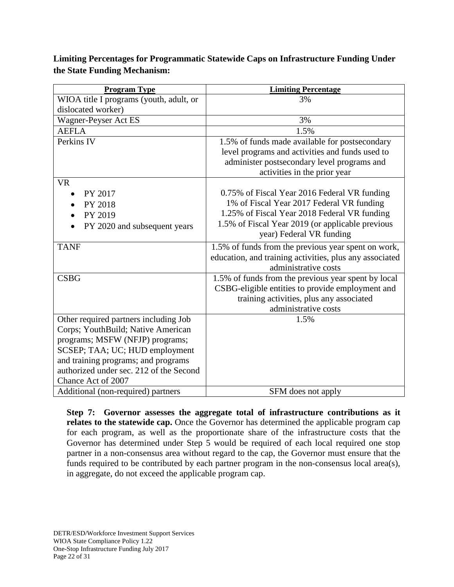**Limiting Percentages for Programmatic Statewide Caps on Infrastructure Funding Under the State Funding Mechanism:**

| <b>Program Type</b>                     | <b>Limiting Percentage</b>                              |  |  |
|-----------------------------------------|---------------------------------------------------------|--|--|
| WIOA title I programs (youth, adult, or | 3%                                                      |  |  |
| dislocated worker)                      |                                                         |  |  |
| Wagner-Peyser Act ES                    | 3%                                                      |  |  |
| <b>AEFLA</b>                            | 1.5%                                                    |  |  |
| Perkins IV                              | 1.5% of funds made available for postsecondary          |  |  |
|                                         | level programs and activities and funds used to         |  |  |
|                                         | administer postsecondary level programs and             |  |  |
|                                         | activities in the prior year                            |  |  |
| <b>VR</b>                               |                                                         |  |  |
| PY 2017                                 | 0.75% of Fiscal Year 2016 Federal VR funding            |  |  |
| PY 2018                                 | 1% of Fiscal Year 2017 Federal VR funding               |  |  |
| PY 2019                                 | 1.25% of Fiscal Year 2018 Federal VR funding            |  |  |
| PY 2020 and subsequent years            | 1.5% of Fiscal Year 2019 (or applicable previous        |  |  |
|                                         | year) Federal VR funding                                |  |  |
| <b>TANF</b>                             | 1.5% of funds from the previous year spent on work,     |  |  |
|                                         | education, and training activities, plus any associated |  |  |
|                                         | administrative costs                                    |  |  |
| <b>CSBG</b>                             | 1.5% of funds from the previous year spent by local     |  |  |
|                                         | CSBG-eligible entities to provide employment and        |  |  |
|                                         | training activities, plus any associated                |  |  |
|                                         | administrative costs                                    |  |  |
| Other required partners including Job   | 1.5%                                                    |  |  |
| Corps; YouthBuild; Native American      |                                                         |  |  |
| programs; MSFW (NFJP) programs;         |                                                         |  |  |
| SCSEP; TAA; UC; HUD employment          |                                                         |  |  |
| and training programs; and programs     |                                                         |  |  |
| authorized under sec. 212 of the Second |                                                         |  |  |
| Chance Act of 2007                      |                                                         |  |  |
| Additional (non-required) partners      | SFM does not apply                                      |  |  |

**Step 7: Governor assesses the aggregate total of infrastructure contributions as it**  relates to the statewide cap. Once the Governor has determined the applicable program cap for each program, as well as the proportionate share of the infrastructure costs that the Governor has determined under Step 5 would be required of each local required one stop partner in a non-consensus area without regard to the cap, the Governor must ensure that the funds required to be contributed by each partner program in the non-consensus local area(s), in aggregate, do not exceed the applicable program cap.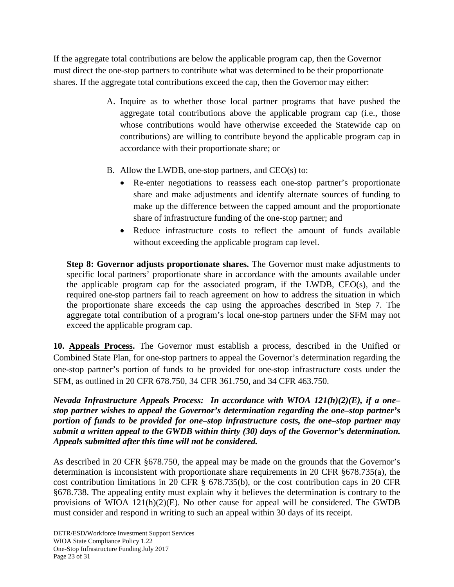If the aggregate total contributions are below the applicable program cap, then the Governor must direct the one-stop partners to contribute what was determined to be their proportionate shares. If the aggregate total contributions exceed the cap, then the Governor may either:

- A. Inquire as to whether those local partner programs that have pushed the aggregate total contributions above the applicable program cap (i.e., those whose contributions would have otherwise exceeded the Statewide cap on contributions) are willing to contribute beyond the applicable program cap in accordance with their proportionate share; or
- B. Allow the LWDB, one-stop partners, and CEO(s) to:
	- Re-enter negotiations to reassess each one-stop partner's proportionate share and make adjustments and identify alternate sources of funding to make up the difference between the capped amount and the proportionate share of infrastructure funding of the one-stop partner; and
	- Reduce infrastructure costs to reflect the amount of funds available without exceeding the applicable program cap level.

**Step 8: Governor adjusts proportionate shares.** The Governor must make adjustments to specific local partners' proportionate share in accordance with the amounts available under the applicable program cap for the associated program, if the LWDB, CEO(s), and the required one-stop partners fail to reach agreement on how to address the situation in which the proportionate share exceeds the cap using the approaches described in Step 7. The aggregate total contribution of a program's local one-stop partners under the SFM may not exceed the applicable program cap.

**10. Appeals Process.** The Governor must establish a process, described in the Unified or Combined State Plan, for one-stop partners to appeal the Governor's determination regarding the one-stop partner's portion of funds to be provided for one-stop infrastructure costs under the SFM, as outlined in 20 CFR 678.750, 34 CFR 361.750, and 34 CFR 463.750.

*Nevada Infrastructure Appeals Process: In accordance with WIOA 121(h)(2)(E), if a one– stop partner wishes to appeal the Governor's determination regarding the one–stop partner's portion of funds to be provided for one–stop infrastructure costs, the one–stop partner may submit a written appeal to the GWDB within thirty (30) days of the Governor's determination. Appeals submitted after this time will not be considered.*

As described in 20 CFR §678.750, the appeal may be made on the grounds that the Governor's determination is inconsistent with proportionate share requirements in 20 CFR §678.735(a), the cost contribution limitations in 20 CFR § 678.735(b), or the cost contribution caps in 20 CFR §678.738. The appealing entity must explain why it believes the determination is contrary to the provisions of WIOA 121(h)(2)(E). No other cause for appeal will be considered. The GWDB must consider and respond in writing to such an appeal within 30 days of its receipt.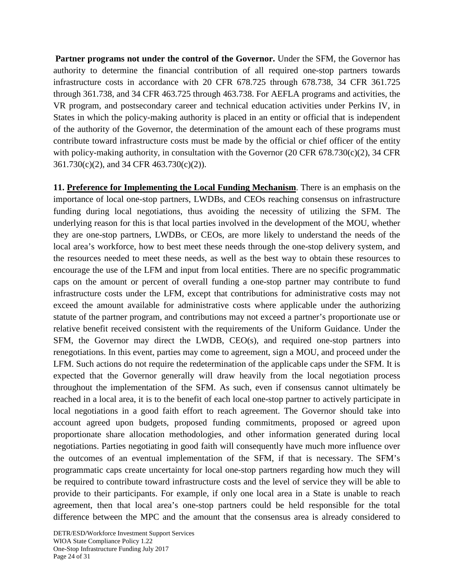**Partner programs not under the control of the Governor.** Under the SFM, the Governor has authority to determine the financial contribution of all required one-stop partners towards infrastructure costs in accordance with 20 CFR 678.725 through 678.738, 34 CFR 361.725 through 361.738, and 34 CFR 463.725 through 463.738. For AEFLA programs and activities, the VR program, and postsecondary career and technical education activities under Perkins IV, in States in which the policy-making authority is placed in an entity or official that is independent of the authority of the Governor, the determination of the amount each of these programs must contribute toward infrastructure costs must be made by the official or chief officer of the entity with policy-making authority, in consultation with the Governor (20 CFR 678.730(c)(2), 34 CFR 361.730(c)(2), and 34 CFR 463.730(c)(2)).

**11. Preference for Implementing the Local Funding Mechanism**. There is an emphasis on the importance of local one-stop partners, LWDBs, and CEOs reaching consensus on infrastructure funding during local negotiations, thus avoiding the necessity of utilizing the SFM. The underlying reason for this is that local parties involved in the development of the MOU, whether they are one-stop partners, LWDBs, or CEOs, are more likely to understand the needs of the local area's workforce, how to best meet these needs through the one-stop delivery system, and the resources needed to meet these needs, as well as the best way to obtain these resources to encourage the use of the LFM and input from local entities. There are no specific programmatic caps on the amount or percent of overall funding a one-stop partner may contribute to fund infrastructure costs under the LFM, except that contributions for administrative costs may not exceed the amount available for administrative costs where applicable under the authorizing statute of the partner program, and contributions may not exceed a partner's proportionate use or relative benefit received consistent with the requirements of the Uniform Guidance. Under the SFM, the Governor may direct the LWDB, CEO(s), and required one-stop partners into renegotiations. In this event, parties may come to agreement, sign a MOU, and proceed under the LFM. Such actions do not require the redetermination of the applicable caps under the SFM. It is expected that the Governor generally will draw heavily from the local negotiation process throughout the implementation of the SFM. As such, even if consensus cannot ultimately be reached in a local area, it is to the benefit of each local one-stop partner to actively participate in local negotiations in a good faith effort to reach agreement. The Governor should take into account agreed upon budgets, proposed funding commitments, proposed or agreed upon proportionate share allocation methodologies, and other information generated during local negotiations. Parties negotiating in good faith will consequently have much more influence over the outcomes of an eventual implementation of the SFM, if that is necessary. The SFM's programmatic caps create uncertainty for local one-stop partners regarding how much they will be required to contribute toward infrastructure costs and the level of service they will be able to provide to their participants. For example, if only one local area in a State is unable to reach agreement, then that local area's one-stop partners could be held responsible for the total difference between the MPC and the amount that the consensus area is already considered to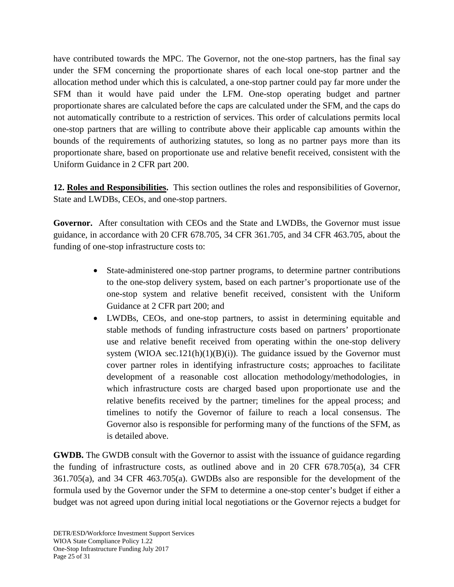have contributed towards the MPC. The Governor, not the one-stop partners, has the final say under the SFM concerning the proportionate shares of each local one-stop partner and the allocation method under which this is calculated, a one-stop partner could pay far more under the SFM than it would have paid under the LFM. One-stop operating budget and partner proportionate shares are calculated before the caps are calculated under the SFM, and the caps do not automatically contribute to a restriction of services. This order of calculations permits local one-stop partners that are willing to contribute above their applicable cap amounts within the bounds of the requirements of authorizing statutes, so long as no partner pays more than its proportionate share, based on proportionate use and relative benefit received, consistent with the Uniform Guidance in 2 CFR part 200.

**12. Roles and Responsibilities.** This section outlines the roles and responsibilities of Governor, State and LWDBs, CEOs, and one-stop partners.

**Governor.** After consultation with CEOs and the State and LWDBs, the Governor must issue guidance, in accordance with 20 CFR 678.705, 34 CFR 361.705, and 34 CFR 463.705, about the funding of one-stop infrastructure costs to:

- State-administered one-stop partner programs, to determine partner contributions to the one-stop delivery system, based on each partner's proportionate use of the one-stop system and relative benefit received, consistent with the Uniform Guidance at 2 CFR part 200; and
- LWDBs, CEOs, and one-stop partners, to assist in determining equitable and stable methods of funding infrastructure costs based on partners' proportionate use and relative benefit received from operating within the one-stop delivery system (WIOA sec.121(h)(1)(B)(i)). The guidance issued by the Governor must cover partner roles in identifying infrastructure costs; approaches to facilitate development of a reasonable cost allocation methodology/methodologies, in which infrastructure costs are charged based upon proportionate use and the relative benefits received by the partner; timelines for the appeal process; and timelines to notify the Governor of failure to reach a local consensus. The Governor also is responsible for performing many of the functions of the SFM, as is detailed above.

**GWDB.** The GWDB consult with the Governor to assist with the issuance of guidance regarding the funding of infrastructure costs, as outlined above and in 20 CFR 678.705(a), 34 CFR 361.705(a), and 34 CFR 463.705(a). GWDBs also are responsible for the development of the formula used by the Governor under the SFM to determine a one-stop center's budget if either a budget was not agreed upon during initial local negotiations or the Governor rejects a budget for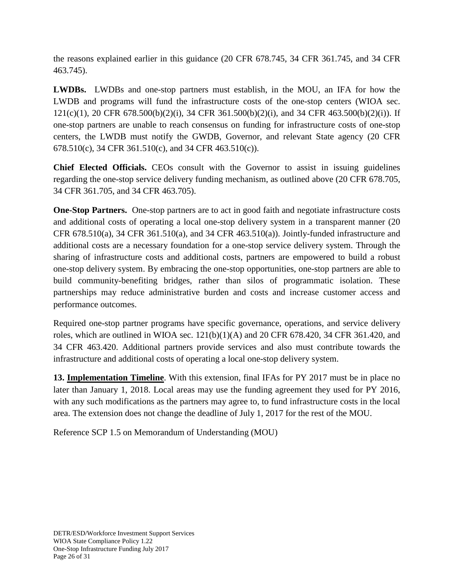the reasons explained earlier in this guidance (20 CFR 678.745, 34 CFR 361.745, and 34 CFR 463.745).

**LWDBs.** LWDBs and one-stop partners must establish, in the MOU, an IFA for how the LWDB and programs will fund the infrastructure costs of the one-stop centers (WIOA sec. 121(c)(1), 20 CFR 678.500(b)(2)(i), 34 CFR 361.500(b)(2)(i), and 34 CFR 463.500(b)(2)(i)). If one-stop partners are unable to reach consensus on funding for infrastructure costs of one-stop centers, the LWDB must notify the GWDB, Governor, and relevant State agency (20 CFR 678.510(c), 34 CFR 361.510(c), and 34 CFR 463.510(c)).

**Chief Elected Officials.** CEOs consult with the Governor to assist in issuing guidelines regarding the one-stop service delivery funding mechanism, as outlined above (20 CFR 678.705, 34 CFR 361.705, and 34 CFR 463.705).

**One-Stop Partners.** One-stop partners are to act in good faith and negotiate infrastructure costs and additional costs of operating a local one-stop delivery system in a transparent manner (20 CFR  $678.510(a)$ , 34 CFR  $361.510(a)$ , and 34 CFR  $463.510(a)$ ). Jointly-funded infrastructure and additional costs are a necessary foundation for a one-stop service delivery system. Through the sharing of infrastructure costs and additional costs, partners are empowered to build a robust one-stop delivery system. By embracing the one-stop opportunities, one-stop partners are able to build community-benefiting bridges, rather than silos of programmatic isolation. These partnerships may reduce administrative burden and costs and increase customer access and performance outcomes.

Required one-stop partner programs have specific governance, operations, and service delivery roles, which are outlined in WIOA sec.  $121(b)(1)(A)$  and  $20$  CFR 678.420, 34 CFR 361.420, and 34 CFR 463.420. Additional partners provide services and also must contribute towards the infrastructure and additional costs of operating a local one-stop delivery system.

**13. Implementation Timeline**. With this extension, final IFAs for PY 2017 must be in place no later than January 1, 2018. Local areas may use the funding agreement they used for PY 2016, with any such modifications as the partners may agree to, to fund infrastructure costs in the local area. The extension does not change the deadline of July 1, 2017 for the rest of the MOU.

Reference SCP 1.5 on Memorandum of Understanding (MOU)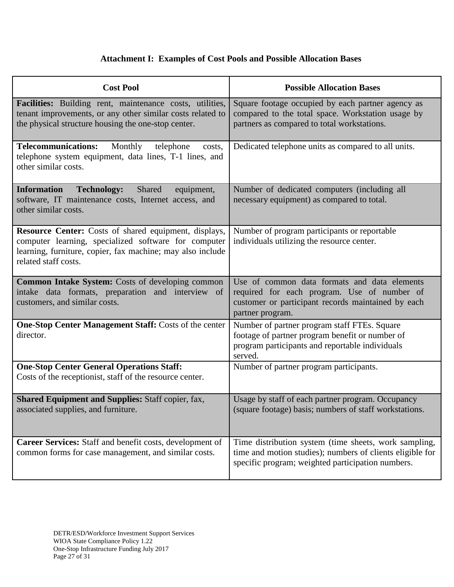# **Attachment I: Examples of Cost Pools and Possible Allocation Bases**

| <b>Cost Pool</b>                                                                                                                                                                                           | <b>Possible Allocation Bases</b>                                                                                                                                        |  |  |  |
|------------------------------------------------------------------------------------------------------------------------------------------------------------------------------------------------------------|-------------------------------------------------------------------------------------------------------------------------------------------------------------------------|--|--|--|
| Facilities: Building rent, maintenance costs, utilities,<br>tenant improvements, or any other similar costs related to<br>the physical structure housing the one-stop center.                              | Square footage occupied by each partner agency as<br>compared to the total space. Workstation usage by<br>partners as compared to total workstations.                   |  |  |  |
| <b>Telecommunications:</b><br>Monthly<br>telephone<br>costs,<br>telephone system equipment, data lines, T-1 lines, and<br>other similar costs.                                                             | Dedicated telephone units as compared to all units.                                                                                                                     |  |  |  |
| <b>Information</b><br><b>Technology:</b><br>Shared<br>equipment,<br>software, IT maintenance costs, Internet access, and<br>other similar costs.                                                           | Number of dedicated computers (including all<br>necessary equipment) as compared to total.                                                                              |  |  |  |
| <b>Resource Center:</b> Costs of shared equipment, displays,<br>computer learning, specialized software for computer<br>learning, furniture, copier, fax machine; may also include<br>related staff costs. | Number of program participants or reportable<br>individuals utilizing the resource center.                                                                              |  |  |  |
| <b>Common Intake System:</b> Costs of developing common<br>intake data formats, preparation and interview of<br>customers, and similar costs.                                                              | Use of common data formats and data elements<br>required for each program. Use of number of<br>customer or participant records maintained by each<br>partner program.   |  |  |  |
| One-Stop Center Management Staff: Costs of the center<br>director.                                                                                                                                         | Number of partner program staff FTEs. Square<br>footage of partner program benefit or number of<br>program participants and reportable individuals<br>served.           |  |  |  |
| <b>One-Stop Center General Operations Staff:</b><br>Costs of the receptionist, staff of the resource center.                                                                                               | Number of partner program participants.                                                                                                                                 |  |  |  |
| <b>Shared Equipment and Supplies: Staff copier, fax,</b><br>associated supplies, and furniture.                                                                                                            | Usage by staff of each partner program. Occupancy<br>(square footage) basis; numbers of staff workstations.                                                             |  |  |  |
| Career Services: Staff and benefit costs, development of<br>common forms for case management, and similar costs.                                                                                           | Time distribution system (time sheets, work sampling,<br>time and motion studies); numbers of clients eligible for<br>specific program; weighted participation numbers. |  |  |  |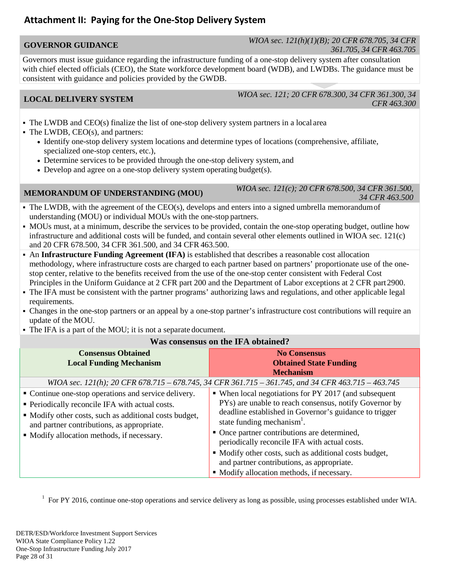# **Attachment II: Paying for the One-Stop Delivery System**

### **GOVERNOR GUIDANCE** *WIOA sec. 121(h)(1)(B); 20 CFR 678.705, 34 CFR 361.705, 34 CFR 463.705*

Governors must issue guidance regarding the infrastructure funding of a one-stop delivery system after consultation with chief elected officials (CEO), the State workforce development board (WDB), and LWDBs. The guidance must be consistent with guidance and policies provided by the GWDB.

**LOCAL DELIVERY SYSTEM** *WIOA sec. 121; 20 CFR 678.300, 34 CFR 361.300, 34 CFR 463.300*

- The LWDB and CEO(s) finalize the list of one-stop delivery system partners in a local area
- The LWDB, CEO(s), and partners:
	- Identify one-stop delivery system locations and determine types of locations (comprehensive, affiliate, specialized one-stop centers, etc.),
	- Determine services to be provided through the one-stop delivery system, and
	- Develop and agree on a one-stop delivery system operating budget(s).

- **MEMORANDUM OF UNDERSTANDING (MOU)** *WIOA sec. 121(c); 20 CFR 678.500, 34 CFR 361.500, 34 CFR 463.500*
- The LWDB, with the agreement of the CEO(s), develops and enters into a signed umbrella memorandum of understanding (MOU) or individual MOUs with the one-stop partners.
- MOUs must, at a minimum, describe the services to be provided, contain the one-stop operating budget, outline how infrastructure and additional costs will be funded, and contain several other elements outlined in WIOA sec. 121(c) and 20 CFR 678.500, 34 CFR 361.500, and 34 CFR 463.500.
- An Infrastructure Funding Agreement (IFA) is established that describes a reasonable cost allocation methodology, where infrastructure costs are charged to each partner based on partners' proportionate use of the onestop center, relative to the benefits received from the use of the one-stop center consistent with Federal Cost Principles in the Uniform Guidance at 2 CFR part 200 and the Department of Labor exceptions at 2 CFR part2900.
- The IFA must be consistent with the partner programs' authorizing laws and regulations, and other applicable legal requirements.
- Changes in the one-stop partners or an appeal by a one-stop partner's infrastructure cost contributions will require an update of the MOU.
- The IFA is a part of the MOU; it is not a separate document.

### **Was consensus on the IFA obtained?**

| <b>Consensus Obtained</b><br><b>Local Funding Mechanism</b>                                                                                                                                                                                                   | <b>No Consensus</b><br><b>Obtained State Funding</b><br><b>Mechanism</b>                                                                                                                                                                                                                                                                                                                                                     |
|---------------------------------------------------------------------------------------------------------------------------------------------------------------------------------------------------------------------------------------------------------------|------------------------------------------------------------------------------------------------------------------------------------------------------------------------------------------------------------------------------------------------------------------------------------------------------------------------------------------------------------------------------------------------------------------------------|
|                                                                                                                                                                                                                                                               | WIOA sec. 121(h); 20 CFR 678.715 – 678.745, 34 CFR 361.715 – 361.745, and 34 CFR 463.715 – 463.745                                                                                                                                                                                                                                                                                                                           |
| • Continue one-stop operations and service delivery.<br>• Periodically reconcile IFA with actual costs.<br>• Modify other costs, such as additional costs budget,<br>and partner contributions, as appropriate.<br>• Modify allocation methods, if necessary. | • When local negotiations for PY 2017 (and subsequent<br>PYs) are unable to reach consensus, notify Governor by<br>deadline established in Governor's guidance to trigger<br>state funding mechanism <sup>1</sup> .<br>• Once partner contributions are determined,<br>periodically reconcile IFA with actual costs.<br>• Modify other costs, such as additional costs budget,<br>and partner contributions, as appropriate. |
|                                                                                                                                                                                                                                                               | • Modify allocation methods, if necessary.                                                                                                                                                                                                                                                                                                                                                                                   |

<sup>1</sup> For PY 2016, continue one-stop operations and service delivery as long as possible, using processes established under WIA.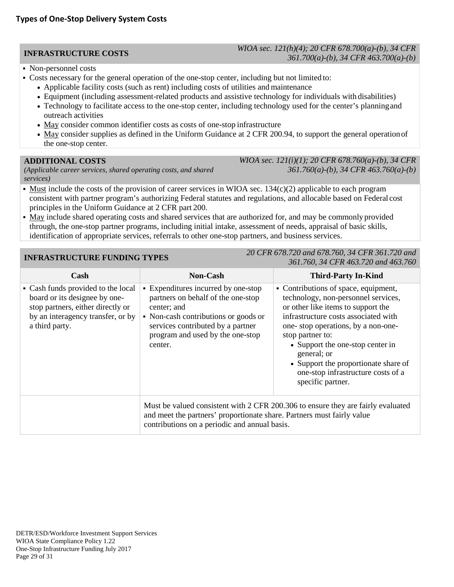### **INFRASTRUCTURE COSTS** *WIOA sec. 121(h)(4); 20 CFR 678.700(a)-(b), 34 CFR 361.700(a)-(b), 34 CFR 463.700(a)-(b)*

- Non-personnel costs
- Costs necessary for the general operation of the one-stop center, including but not limited to:
	- Applicable facility costs (such as rent) including costs of utilities and maintenance
	- Equipment (including assessment-related products and assistive technology for individuals with disabilities)
	- Technology to facilitate access to the one-stop center, including technology used for the center's planningand outreach activities
	- May consider common identifier costs as costs of one-stop infrastructure
	- May consider supplies as defined in the Uniform Guidance at 2 CFR 200.94, to support the general operation of the one-stop center.

### **ADDITIONAL COSTS**

*(Applicable career services, shared operating costs, and shared services)*

*WIOA sec. 121(i)(1); 20 CFR 678.760(a)-(b), 34 CFR 361.760(a)-(b), 34 CFR 463.760(a)-(b)*

- Must include the costs of the provision of career services in WIOA sec.  $134(c)(2)$  applicable to each program consistent with partner program's authorizing Federal statutes and regulations, and allocable based on Federal cost principles in the Uniform Guidance at 2 CFR part 200.
- May include shared operating costs and shared services that are authorized for, and may be commonly provided through, the one-stop partner programs, including initial intake, assessment of needs, appraisal of basic skills, identification of appropriate services, referrals to other one-stop partners, and business services.

**INFRASTRUCTURE FUNDING TYPES** *20 CFR 678.720 and 678.760, 34 CFR 361.720 and 361.760, 34 CFR 463.720 and 463.760*

| Cash                                                                                                                                                            | <b>Non-Cash</b>                                                                                                                                                                                                      | <b>Third-Party In-Kind</b>                                                                                                                                                                                                                                                                                                                                                |  |
|-----------------------------------------------------------------------------------------------------------------------------------------------------------------|----------------------------------------------------------------------------------------------------------------------------------------------------------------------------------------------------------------------|---------------------------------------------------------------------------------------------------------------------------------------------------------------------------------------------------------------------------------------------------------------------------------------------------------------------------------------------------------------------------|--|
| • Cash funds provided to the local<br>board or its designee by one-<br>stop partners, either directly or<br>by an interagency transfer, or by<br>a third party. | • Expenditures incurred by one-stop<br>partners on behalf of the one-stop<br>center; and<br>• Non-cash contributions or goods or<br>services contributed by a partner<br>program and used by the one-stop<br>center. | • Contributions of space, equipment,<br>technology, non-personnel services,<br>or other like items to support the<br>infrastructure costs associated with<br>one-stop operations, by a non-one-<br>stop partner to:<br>• Support the one-stop center in<br>general; or<br>• Support the proportionate share of<br>one-stop infrastructure costs of a<br>specific partner. |  |
|                                                                                                                                                                 | Must be valued consistent with 2 CFR 200.306 to ensure they are fairly evaluated<br>and meet the partners' proportionate share. Partners must fairly value<br>contributions on a periodic and annual basis.          |                                                                                                                                                                                                                                                                                                                                                                           |  |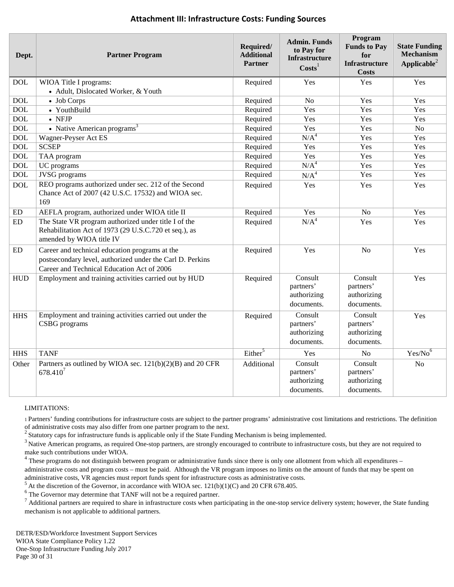| Dept.      | <b>Partner Program</b>                                                                                                                                    | Required/<br><b>Additional</b><br><b>Partner</b> | <b>Admin. Funds</b><br>to Pay for<br>Infrastructure<br>$\text{Costs}^1$ | Program<br><b>Funds to Pay</b><br>for<br><b>Infrastructure</b><br><b>Costs</b> | <b>State Funding</b><br><b>Mechanism</b><br>Applicable <sup>2</sup> |
|------------|-----------------------------------------------------------------------------------------------------------------------------------------------------------|--------------------------------------------------|-------------------------------------------------------------------------|--------------------------------------------------------------------------------|---------------------------------------------------------------------|
| <b>DOL</b> | WIOA Title I programs:                                                                                                                                    | Required                                         | Yes                                                                     | Yes                                                                            | Yes                                                                 |
|            | • Adult, Dislocated Worker, & Youth                                                                                                                       |                                                  |                                                                         |                                                                                |                                                                     |
| <b>DOL</b> | • Job Corps                                                                                                                                               | Required                                         | N <sub>o</sub>                                                          | Yes                                                                            | Yes                                                                 |
| <b>DOL</b> | • YouthBuild                                                                                                                                              | Required                                         | Yes                                                                     | Yes                                                                            | Yes                                                                 |
| <b>DOL</b> | $\bullet$ NFJP                                                                                                                                            | Required                                         | Yes                                                                     | Yes                                                                            | Yes                                                                 |
| <b>DOL</b> | • Native American programs $3$                                                                                                                            | Required                                         | Yes                                                                     | Yes                                                                            | N <sub>o</sub>                                                      |
| <b>DOL</b> | Wagner-Peyser Act ES                                                                                                                                      | Required                                         | N/A <sup>4</sup>                                                        | Yes                                                                            | Yes                                                                 |
| <b>DOL</b> | <b>SCSEP</b>                                                                                                                                              | Required                                         | Yes                                                                     | Yes                                                                            | Yes                                                                 |
| <b>DOL</b> | TAA program                                                                                                                                               | Required                                         | Yes                                                                     | Yes                                                                            | Yes                                                                 |
| <b>DOL</b> | UC programs                                                                                                                                               | Required                                         | N/A <sup>4</sup>                                                        | Yes                                                                            | Yes                                                                 |
| <b>DOL</b> | <b>JVSG</b> programs                                                                                                                                      | Required                                         | N/A <sup>4</sup>                                                        | Yes                                                                            | Yes                                                                 |
| <b>DOL</b> | REO programs authorized under sec. 212 of the Second<br>Chance Act of 2007 (42 U.S.C. 17532) and WIOA sec.<br>169                                         | Required                                         | Yes                                                                     | Yes                                                                            | Yes                                                                 |
| ${\rm ED}$ | AEFLA program, authorized under WIOA title II                                                                                                             | Required                                         | Yes                                                                     | No                                                                             | Yes                                                                 |
| ED         | The State VR program authorized under title I of the<br>Rehabilitation Act of 1973 (29 U.S.C.720 et seq.), as<br>amended by WIOA title IV                 | Required                                         | N/A <sup>4</sup>                                                        | Yes                                                                            | Yes                                                                 |
| ED         | Career and technical education programs at the<br>postsecondary level, authorized under the Carl D. Perkins<br>Career and Technical Education Act of 2006 | Required                                         | Yes                                                                     | N <sub>o</sub>                                                                 | Yes                                                                 |
| <b>HUD</b> | Employment and training activities carried out by HUD                                                                                                     | Required                                         | Consult<br>partners'<br>authorizing<br>documents.                       | Consult<br>partners'<br>authorizing<br>documents.                              | Yes                                                                 |
| <b>HHS</b> | Employment and training activities carried out under the<br>CSBG programs                                                                                 | Required                                         | Consult<br>partners'<br>authorizing<br>documents.                       | Consult<br>partners'<br>authorizing<br>documents.                              | Yes                                                                 |
| <b>HHS</b> | <b>TANF</b>                                                                                                                                               | Either <sup>5</sup>                              | Yes                                                                     | No                                                                             | Yes/No <sup>6</sup>                                                 |
| Other      | Partners as outlined by WIOA sec. $121(b)(2)(B)$ and 20 CFR<br>$678.410^{7}$                                                                              | Additional                                       | Consult<br>partners'<br>authorizing<br>documents.                       | Consult<br>partners'<br>authorizing<br>documents.                              | N <sub>o</sub>                                                      |

### **Attachment III: Infrastructure Costs: Funding Sources**

### LIMITATIONS:

1 Partners' funding contributions for infrastructure costs are subject to the partner programs' administrative cost limitations and restrictions. The definition of administrative costs may also differ from one partner program to the next.

 $2$  Statutory caps for infrastructure funds is applicable only if the State Funding Mechanism is being implemented.

<sup>3</sup> Native American programs, as required One-stop partners, are strongly encouraged to contribute to infrastructure costs, but they are not required to make such contributions under WIOA.<br><sup>4</sup> These programs do not distinguish between program or administrative funds since there is only one allotment from which all expenditures –

administrative costs and program costs – must be paid. Although the VR program imposes no limits on the amount of funds that may be spent on administrative costs, VR agencies must report funds spent for infrastructure costs as administrative costs.

 $^5$  At the discretion of the Governor, in accordance with WIOA sec. 121(b)(1)(C) and 20 CFR 678.405.<br>
<sup>6</sup> The Governor may determine that TANF will not be a required partner.

 $7$  Additional partners are required to share in infrastructure costs when participating in the one-stop service delivery system; however, the State funding mechanism is not applicable to additional partners.

DETR/ESD/Workforce Investment Support Services WIOA State Compliance Policy 1.22 One-Stop Infrastructure Funding July 2017 Page 30 of 31